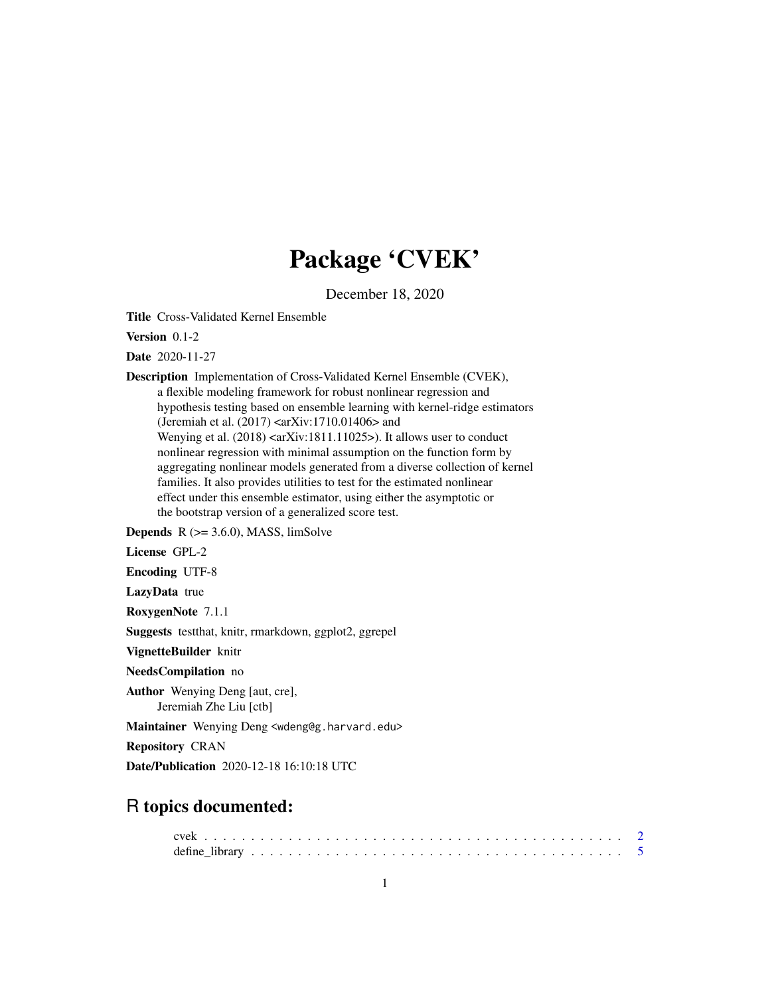## Package 'CVEK'

December 18, 2020

Title Cross-Validated Kernel Ensemble

Version 0.1-2

Date 2020-11-27

Description Implementation of Cross-Validated Kernel Ensemble (CVEK), a flexible modeling framework for robust nonlinear regression and hypothesis testing based on ensemble learning with kernel-ridge estimators (Jeremiah et al. (2017) <arXiv:1710.01406> and Wenying et al. (2018) <arXiv:1811.11025>). It allows user to conduct nonlinear regression with minimal assumption on the function form by aggregating nonlinear models generated from a diverse collection of kernel families. It also provides utilities to test for the estimated nonlinear effect under this ensemble estimator, using either the asymptotic or the bootstrap version of a generalized score test.

**Depends**  $R$  ( $>= 3.6.0$ ), MASS, limSolve

License GPL-2

Encoding UTF-8

LazyData true

RoxygenNote 7.1.1

Suggests testthat, knitr, rmarkdown, ggplot2, ggrepel

VignetteBuilder knitr

NeedsCompilation no

Author Wenying Deng [aut, cre], Jeremiah Zhe Liu [ctb]

Maintainer Wenying Deng <wdeng@g.harvard.edu>

Repository CRAN

Date/Publication 2020-12-18 16:10:18 UTC

## R topics documented: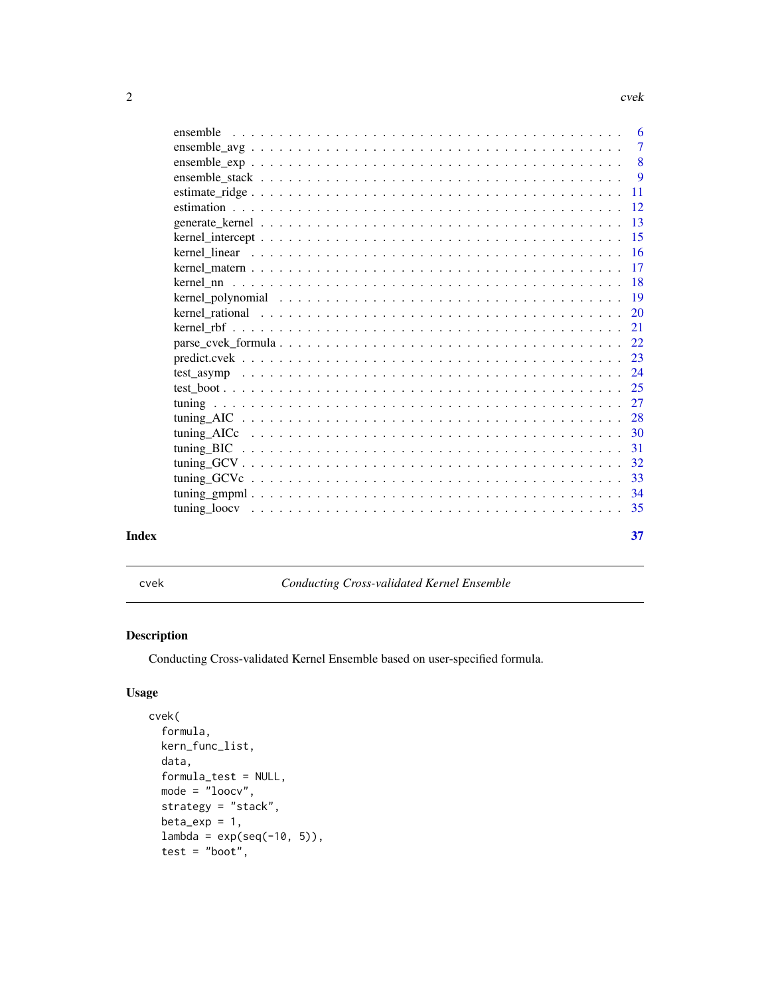<span id="page-1-0"></span> $2 \cos \theta$  cvek

| Index |          | 37          |
|-------|----------|-------------|
|       |          | 35          |
|       |          | 34          |
|       |          | 33          |
|       |          | 32          |
|       |          | 31          |
|       |          | 30          |
|       |          | 28          |
|       |          | 27          |
|       |          | 25          |
|       |          | 24          |
|       |          | 23          |
|       |          | 22          |
|       |          | 21          |
|       |          | 20          |
|       |          | 19          |
|       |          | 18          |
|       |          | 17          |
|       |          | 16          |
|       |          | 15          |
|       |          | 13          |
|       |          | 12          |
|       |          | 11          |
|       |          | 9           |
|       |          | $\tau$<br>8 |
|       | ensemble | 6           |
|       |          |             |

cvek *Conducting Cross-validated Kernel Ensemble*

### Description

Conducting Cross-validated Kernel Ensemble based on user-specified formula.

### Usage

```
cvek(
  formula,
 kern_func_list,
 data,
  formula_test = NULL,
 mode = "loocv",strategy = "stack",
 beta\_exp = 1,
  lambda = exp(seq(-10, 5)),
  test = "boot",
```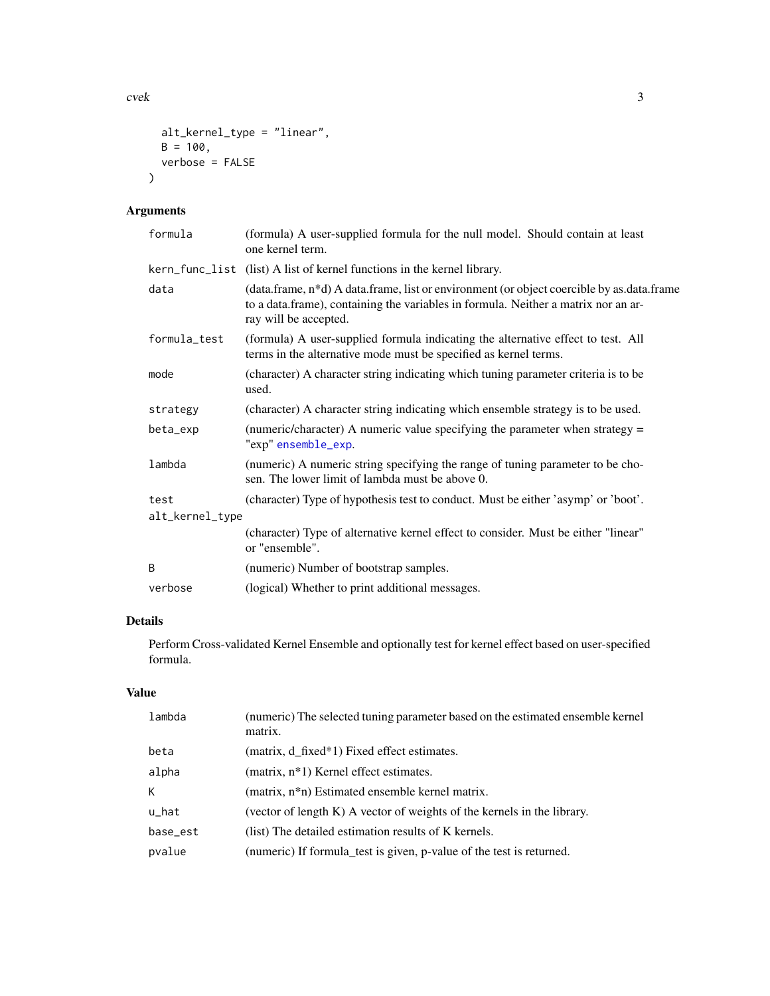<span id="page-2-0"></span> $\csc$  2  $\sin$  3  $\sin$  3  $\sin$  3  $\sin$  3  $\sin$  3  $\sin$  3  $\sin$  3  $\sin$  3  $\sin$  3  $\sin$  3  $\sin$  3  $\sin$  3  $\sin$  3  $\sin$  3  $\sin$  3  $\sin$  3  $\sin$  3  $\sin$  3  $\sin$  3  $\sin$  3  $\sin$  3  $\sin$  3  $\sin$  3  $\sin$  3  $\sin$  3  $\sin$  3  $\sin$  3  $\sin$  3  $\sin$  3  $\sin$  3  $\sin$ 

```
alt_kernel_type = "linear",
  B = 100,verbose = FALSE
\mathcal{L}
```
### Arguments

| formula         | (formula) A user-supplied formula for the null model. Should contain at least<br>one kernel term.                                                                                                        |
|-----------------|----------------------------------------------------------------------------------------------------------------------------------------------------------------------------------------------------------|
|                 | kern_func_list (list) A list of kernel functions in the kernel library.                                                                                                                                  |
| data            | (data.frame, n*d) A data.frame, list or environment (or object coercible by as data.frame<br>to a data.frame), containing the variables in formula. Neither a matrix nor an ar-<br>ray will be accepted. |
| formula_test    | (formula) A user-supplied formula indicating the alternative effect to test. All<br>terms in the alternative mode must be specified as kernel terms.                                                     |
| mode            | (character) A character string indicating which tuning parameter criteria is to be<br>used.                                                                                                              |
| strategy        | (character) A character string indicating which ensemble strategy is to be used.                                                                                                                         |
| beta_exp        | (numeric/character) A numeric value specifying the parameter when strategy =<br>"exp" ensemble_exp.                                                                                                      |
| lambda          | (numeric) A numeric string specifying the range of tuning parameter to be cho-<br>sen. The lower limit of lambda must be above 0.                                                                        |
| test            | (character) Type of hypothesis test to conduct. Must be either 'asymp' or 'boot'.                                                                                                                        |
| alt_kernel_type |                                                                                                                                                                                                          |
|                 | (character) Type of alternative kernel effect to consider. Must be either "linear"<br>or "ensemble".                                                                                                     |
| B               | (numeric) Number of bootstrap samples.                                                                                                                                                                   |
| verbose         | (logical) Whether to print additional messages.                                                                                                                                                          |
|                 |                                                                                                                                                                                                          |

### Details

Perform Cross-validated Kernel Ensemble and optionally test for kernel effect based on user-specified formula.

### Value

| lambda   | (numeric) The selected tuning parameter based on the estimated ensemble kernel<br>matrix. |
|----------|-------------------------------------------------------------------------------------------|
| beta     | (matrix, d_fixed*1) Fixed effect estimates.                                               |
| alpha    | (matrix, n*1) Kernel effect estimates.                                                    |
| К        | (matrix, n <sup>*</sup> n) Estimated ensemble kernel matrix.                              |
| $u$ _hat | (vector of length $K$ ) A vector of weights of the kernels in the library.                |
| base_est | (list) The detailed estimation results of K kernels.                                      |
| pvalue   | (numeric) If formula_test is given, p-value of the test is returned.                      |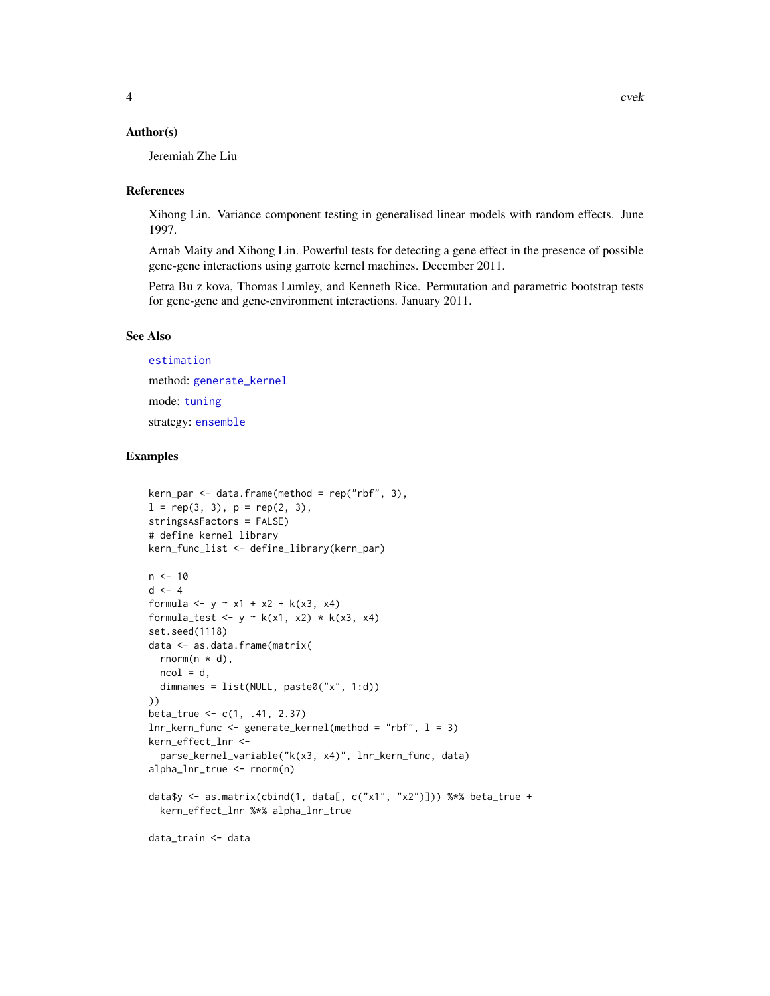#### <span id="page-3-0"></span>Author(s)

Jeremiah Zhe Liu

#### References

Xihong Lin. Variance component testing in generalised linear models with random effects. June 1997.

Arnab Maity and Xihong Lin. Powerful tests for detecting a gene effect in the presence of possible gene-gene interactions using garrote kernel machines. December 2011.

Petra Bu z kova, Thomas Lumley, and Kenneth Rice. Permutation and parametric bootstrap tests for gene-gene and gene-environment interactions. January 2011.

#### See Also

[estimation](#page-11-1) method: [generate\\_kernel](#page-12-1) mode: [tuning](#page-26-1) strategy: [ensemble](#page-5-1)

### Examples

```
kern\_par \leq data.frame(method = rep("rbf", 3),
l = rep(3, 3), p = rep(2, 3),stringsAsFactors = FALSE)
# define kernel library
kern_func_list <- define_library(kern_par)
n < -10d \leq -4formula \le -y - x_1 + x_2 + k(x_3, x_4)formula_test <- y \sim k(x1, x2) * k(x3, x4)set.seed(1118)
data <- as.data.frame(matrix(
  rnorm(n * d),
 ncol = d,
  dimnames = list(NULL, paste0("x", 1:d))
))
beta_true <- c(1, .41, 2.37)
lnr_kern_func <- generate_kernel(method = "rbf", l = 3)
kern_effect_lnr <-
  parse_kernel_variable("k(x3, x4)", lnr_kern_func, data)
alpha_lnr_true <- rnorm(n)
data$y <- as.matrix(cbind(1, data[, c("x1", "x2")])) %*% beta_true +
  kern_effect_lnr %*% alpha_lnr_true
data_train <- data
```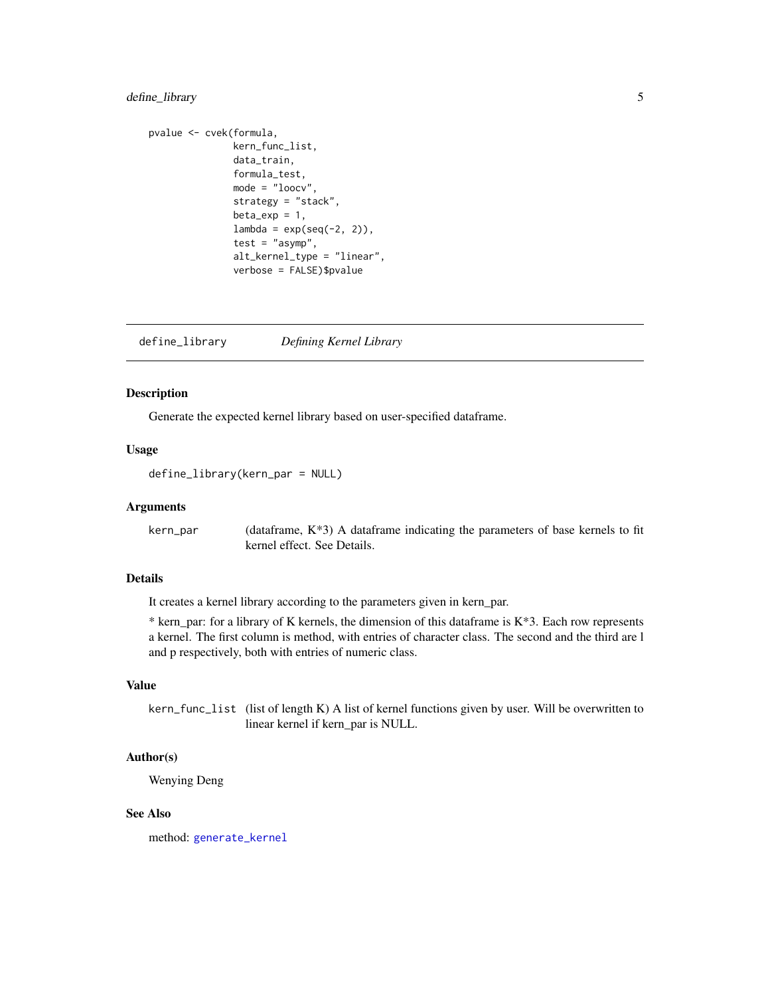### <span id="page-4-0"></span>define\_library 5

```
pvalue <- cvek(formula,
               kern_func_list,
               data_train,
               formula_test,
               mode = "loocv",
               strategy = "stack",
               beta_exp = 1,
               lambda = exp(seq(-2, 2)),test = "asymp",
               alt_kernel_type = "linear",
               verbose = FALSE)$pvalue
```
define\_library *Defining Kernel Library*

### Description

Generate the expected kernel library based on user-specified dataframe.

#### Usage

define\_library(kern\_par = NULL)

#### Arguments

kern\_par (dataframe, K\*3) A dataframe indicating the parameters of base kernels to fit kernel effect. See Details.

### Details

It creates a kernel library according to the parameters given in kern\_par.

\* kern\_par: for a library of K kernels, the dimension of this dataframe is  $K^*3$ . Each row represents a kernel. The first column is method, with entries of character class. The second and the third are l and p respectively, both with entries of numeric class.

### Value

kern\_func\_list (list of length K) A list of kernel functions given by user. Will be overwritten to linear kernel if kern\_par is NULL.

#### Author(s)

Wenying Deng

#### See Also

method: [generate\\_kernel](#page-12-1)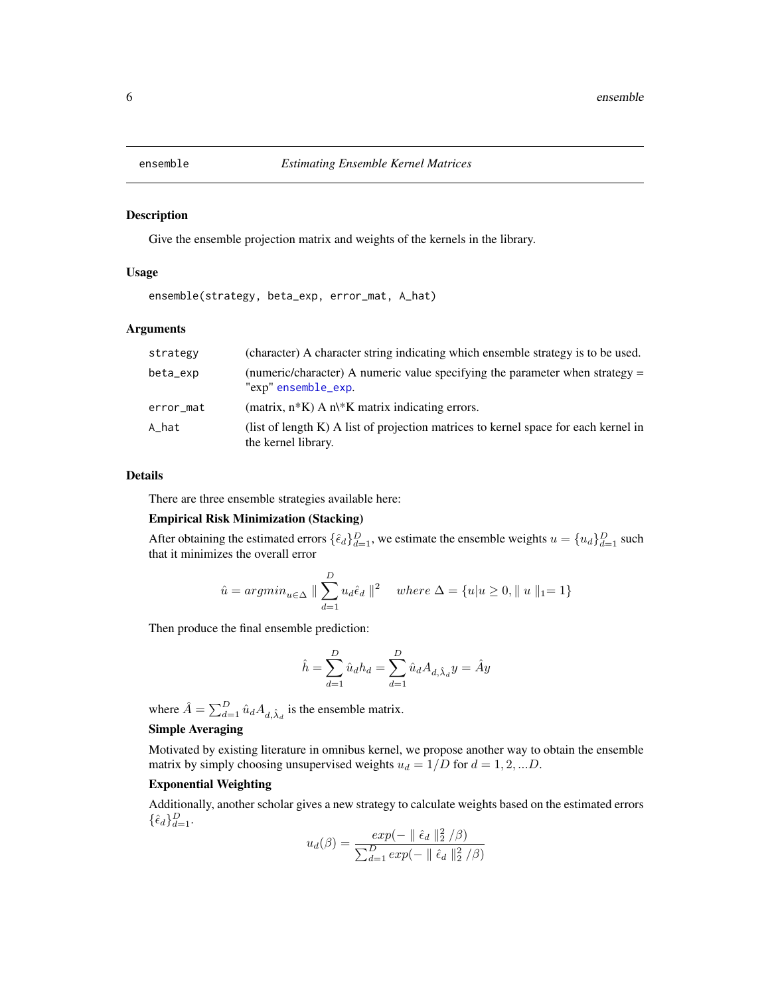<span id="page-5-1"></span><span id="page-5-0"></span>

Give the ensemble projection matrix and weights of the kernels in the library.

#### Usage

ensemble(strategy, beta\_exp, error\_mat, A\_hat)

#### Arguments

| strategy  | (character) A character string indicating which ensemble strategy is to be used.                              |
|-----------|---------------------------------------------------------------------------------------------------------------|
| beta_exp  | (numeric/character) A numeric value specifying the parameter when strategy $=$<br>"exp" ensemble_exp.         |
| error_mat | (matrix, $n*K$ ) A $n/K$ matrix indicating errors.                                                            |
| A_hat     | (list of length $K$ ) A list of projection matrices to kernel space for each kernel in<br>the kernel library. |

#### Details

There are three ensemble strategies available here:

### Empirical Risk Minimization (Stacking)

After obtaining the estimated errors  $\{\hat{\epsilon}_d\}_{d=1}^D$ , we estimate the ensemble weights  $u = \{u_d\}_{d=1}^D$  such that it minimizes the overall error

$$
\hat{u} = argmin_{u \in \Delta} \parallel \sum_{d=1}^{D} u_d \hat{\epsilon}_d \parallel^2 \quad where \ \Delta = \{u | u \ge 0, \parallel u \parallel_1 = 1\}
$$

Then produce the final ensemble prediction:

$$
\hat{h} = \sum_{d=1}^{D} \hat{u}_d h_d = \sum_{d=1}^{D} \hat{u}_d A_{d,\hat{\lambda}_d} y = \hat{A} y
$$

where  $\hat{A} = \sum_{d=1}^{D} \hat{u}_d A_{d,\hat{\lambda}_d}$  is the ensemble matrix.

### Simple Averaging

Motivated by existing literature in omnibus kernel, we propose another way to obtain the ensemble matrix by simply choosing unsupervised weights  $u_d = 1/D$  for  $d = 1, 2, ...D$ .

### Exponential Weighting

Additionally, another scholar gives a new strategy to calculate weights based on the estimated errors  $\{\hat{\epsilon}_d\}_{d=1}^D$ .

$$
u_d(\beta) = \frac{exp(- \parallel \hat{\epsilon}_d \parallel_2^2/\beta)}{\sum_{d=1}^D exp(- \parallel \hat{\epsilon}_d \parallel_2^2/\beta)}
$$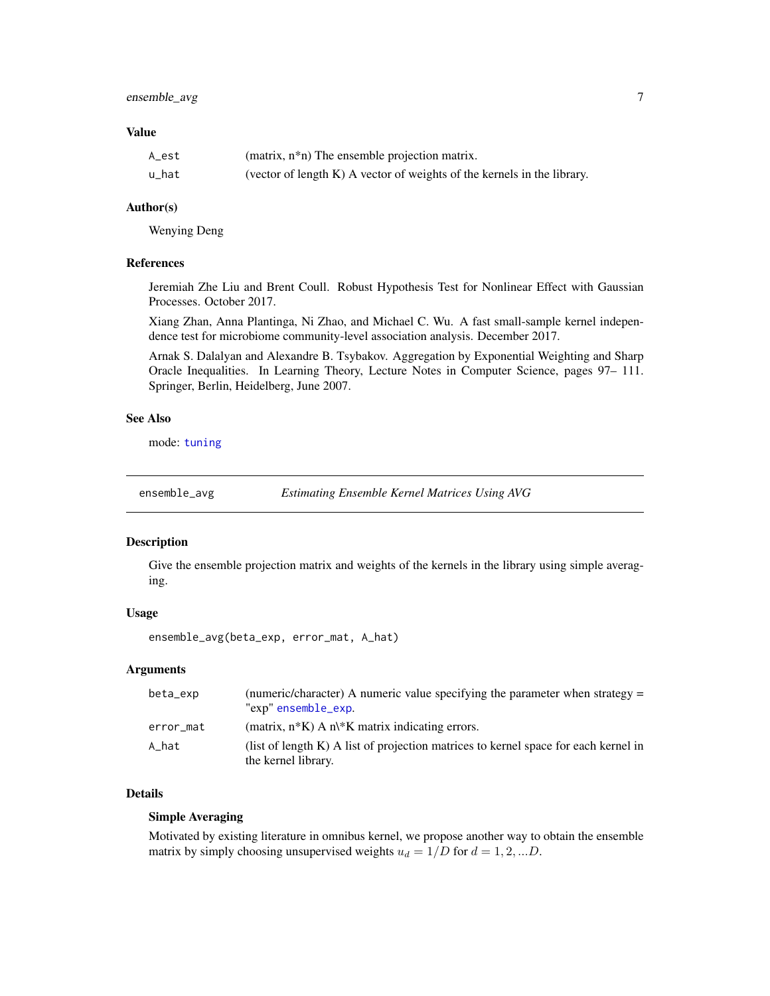### <span id="page-6-0"></span>ensemble\_avg 7

#### Value

| A_est | (matrix, $n * n$ ) The ensemble projection matrix.                      |
|-------|-------------------------------------------------------------------------|
| u_hat | (vector of length K) A vector of weights of the kernels in the library. |

### Author(s)

Wenying Deng

#### References

Jeremiah Zhe Liu and Brent Coull. Robust Hypothesis Test for Nonlinear Effect with Gaussian Processes. October 2017.

Xiang Zhan, Anna Plantinga, Ni Zhao, and Michael C. Wu. A fast small-sample kernel independence test for microbiome community-level association analysis. December 2017.

Arnak S. Dalalyan and Alexandre B. Tsybakov. Aggregation by Exponential Weighting and Sharp Oracle Inequalities. In Learning Theory, Lecture Notes in Computer Science, pages 97– 111. Springer, Berlin, Heidelberg, June 2007.

#### See Also

mode: [tuning](#page-26-1)

ensemble\_avg *Estimating Ensemble Kernel Matrices Using AVG*

#### Description

Give the ensemble projection matrix and weights of the kernels in the library using simple averaging.

#### Usage

ensemble\_avg(beta\_exp, error\_mat, A\_hat)

#### Arguments

| beta_exp  | (numeric/character) A numeric value specifying the parameter when strategy =<br>"exp" ensemble_exp.        |
|-----------|------------------------------------------------------------------------------------------------------------|
| error_mat | (matrix, $n*K$ ) A $n/K$ matrix indicating errors.                                                         |
| A hat     | (list of length K) A list of projection matrices to kernel space for each kernel in<br>the kernel library. |

#### Details

#### Simple Averaging

Motivated by existing literature in omnibus kernel, we propose another way to obtain the ensemble matrix by simply choosing unsupervised weights  $u_d = 1/D$  for  $d = 1, 2, ...D$ .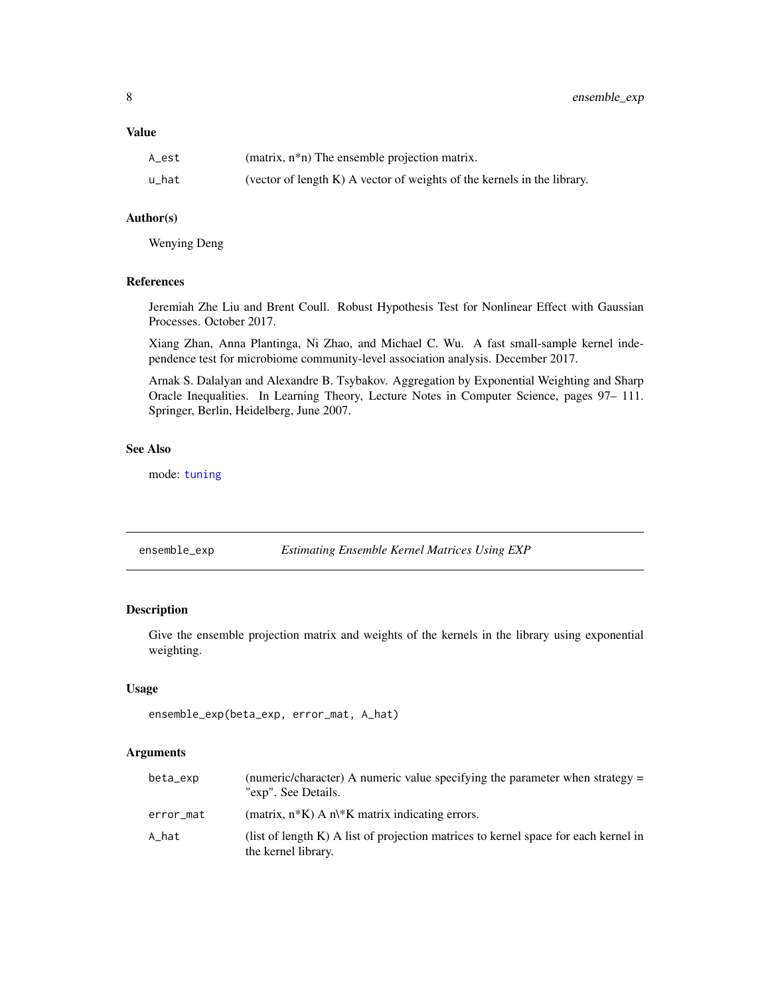<span id="page-7-0"></span>8 ensemble\_exp

### Value

| A_est | (matrix, $n * n$ ) The ensemble projection matrix.                         |
|-------|----------------------------------------------------------------------------|
| u hat | (vector of length $K$ ) A vector of weights of the kernels in the library. |

### Author(s)

Wenying Deng

#### References

Jeremiah Zhe Liu and Brent Coull. Robust Hypothesis Test for Nonlinear Effect with Gaussian Processes. October 2017.

Xiang Zhan, Anna Plantinga, Ni Zhao, and Michael C. Wu. A fast small-sample kernel independence test for microbiome community-level association analysis. December 2017.

Arnak S. Dalalyan and Alexandre B. Tsybakov. Aggregation by Exponential Weighting and Sharp Oracle Inequalities. In Learning Theory, Lecture Notes in Computer Science, pages 97– 111. Springer, Berlin, Heidelberg, June 2007.

### See Also

mode: [tuning](#page-26-1)

<span id="page-7-1"></span>

| ensemble_exp | <b>Estimating Ensemble Kernel Matrices Using EXP</b> |  |
|--------------|------------------------------------------------------|--|
|--------------|------------------------------------------------------|--|

### Description

Give the ensemble projection matrix and weights of the kernels in the library using exponential weighting.

#### Usage

```
ensemble_exp(beta_exp, error_mat, A_hat)
```
#### Arguments

| beta_exp  | (numeric/character) A numeric value specifying the parameter when strategy =<br>"exp". See Details.        |
|-----------|------------------------------------------------------------------------------------------------------------|
| error_mat | (matrix, $n*K$ ) A $n\&$ K matrix indicating errors.                                                       |
| A_hat     | (list of length K) A list of projection matrices to kernel space for each kernel in<br>the kernel library. |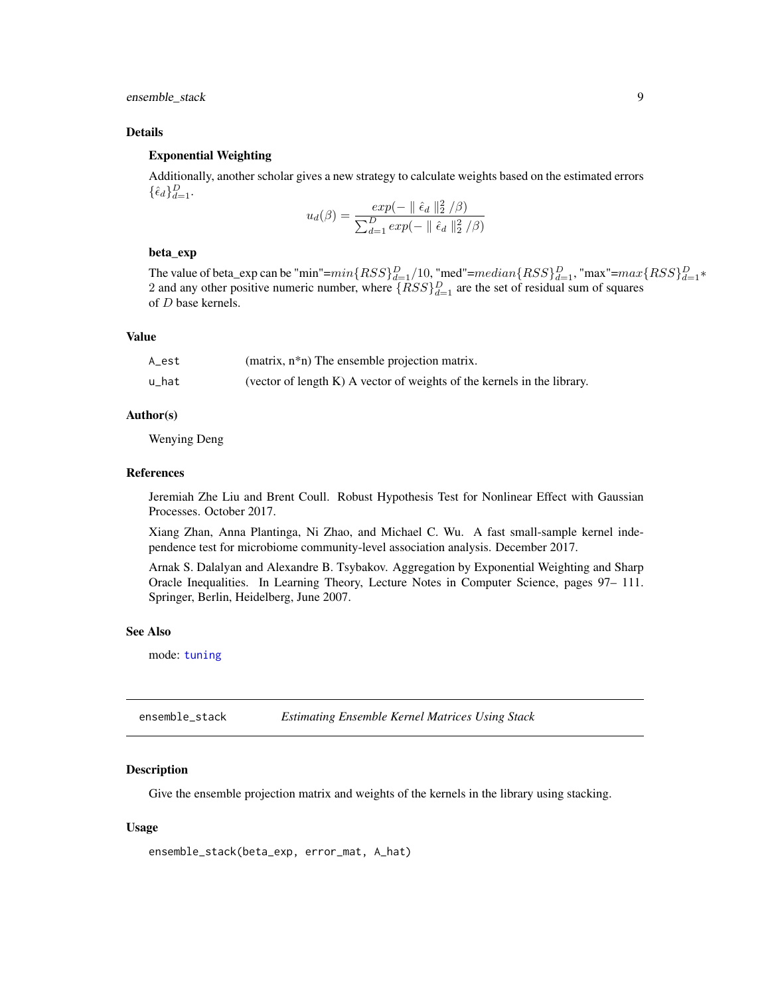<span id="page-8-0"></span>ensemble\_stack 9

#### Details

### Exponential Weighting

Additionally, another scholar gives a new strategy to calculate weights based on the estimated errors  $\{\hat{\epsilon}_d\}_{d=1}^D$ .

$$
u_d(\beta) = \frac{exp(- \parallel \hat{\epsilon}_d \parallel_2^2/\beta)}{\sum_{d=1}^D exp(- \parallel \hat{\epsilon}_d \parallel_2^2/\beta)}
$$

### beta\_exp

The value of beta\_exp can be "min"= $min\{RSS\}_{d=1}^D/10$ , "med"= $median\{RSS\}_{d=1}^D$ , "max"= $max\{RSS\}_{d=1}^D*$ 2 and any other positive numeric number, where  $\{RSS\}_{d=1}^D$  are the set of residual sum of squares of D base kernels.

#### Value

| A_est | (matrix, n*n) The ensemble projection matrix.                              |
|-------|----------------------------------------------------------------------------|
| u_hat | (vector of length $K$ ) A vector of weights of the kernels in the library. |

#### Author(s)

Wenying Deng

#### References

Jeremiah Zhe Liu and Brent Coull. Robust Hypothesis Test for Nonlinear Effect with Gaussian Processes. October 2017.

Xiang Zhan, Anna Plantinga, Ni Zhao, and Michael C. Wu. A fast small-sample kernel independence test for microbiome community-level association analysis. December 2017.

Arnak S. Dalalyan and Alexandre B. Tsybakov. Aggregation by Exponential Weighting and Sharp Oracle Inequalities. In Learning Theory, Lecture Notes in Computer Science, pages 97– 111. Springer, Berlin, Heidelberg, June 2007.

#### See Also

mode: [tuning](#page-26-1)

ensemble\_stack *Estimating Ensemble Kernel Matrices Using Stack*

#### Description

Give the ensemble projection matrix and weights of the kernels in the library using stacking.

#### Usage

```
ensemble_stack(beta_exp, error_mat, A_hat)
```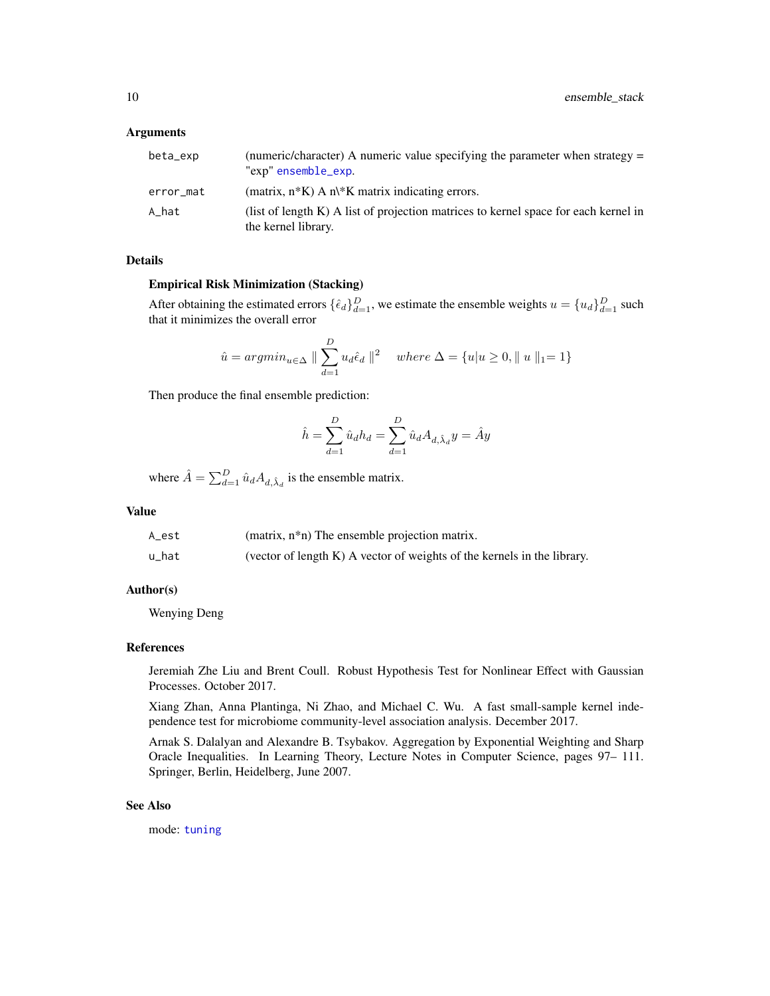#### <span id="page-9-0"></span>**Arguments**

| beta_exp  | (numeric/character) A numeric value specifying the parameter when strategy $=$<br>"exp" ensemble_exp.      |
|-----------|------------------------------------------------------------------------------------------------------------|
| error_mat | (matrix, $n*K$ ) A $n/K$ matrix indicating errors.                                                         |
| A hat     | (list of length K) A list of projection matrices to kernel space for each kernel in<br>the kernel library. |

#### Details

#### Empirical Risk Minimization (Stacking)

After obtaining the estimated errors  $\{\hat{\epsilon}_d\}_{d=1}^D$ , we estimate the ensemble weights  $u = \{u_d\}_{d=1}^D$  such that it minimizes the overall error

$$
\hat{u} = argmin_{u \in \Delta} \parallel \sum_{d=1}^{D} u_d \hat{\epsilon}_d \parallel^2 \quad where \ \Delta = \{u | u \ge 0, \parallel u \parallel_1 = 1\}
$$

Then produce the final ensemble prediction:

$$
\hat{h}=\sum_{d=1}^D \hat{u}_d h_d=\sum_{d=1}^D \hat{u}_d A_{d,\hat{\lambda}_d}y=\hat{A}y
$$

where  $\hat{A} = \sum_{d=1}^{D} \hat{u}_d A_{d,\hat{\lambda}_d}$  is the ensemble matrix.

#### Value

| A est | (matrix, n*n) The ensemble projection matrix.                              |
|-------|----------------------------------------------------------------------------|
| u_hat | (vector of length $K$ ) A vector of weights of the kernels in the library. |

#### Author(s)

Wenying Deng

#### References

Jeremiah Zhe Liu and Brent Coull. Robust Hypothesis Test for Nonlinear Effect with Gaussian Processes. October 2017.

Xiang Zhan, Anna Plantinga, Ni Zhao, and Michael C. Wu. A fast small-sample kernel independence test for microbiome community-level association analysis. December 2017.

Arnak S. Dalalyan and Alexandre B. Tsybakov. Aggregation by Exponential Weighting and Sharp Oracle Inequalities. In Learning Theory, Lecture Notes in Computer Science, pages 97– 111. Springer, Berlin, Heidelberg, June 2007.

#### See Also

mode: [tuning](#page-26-1)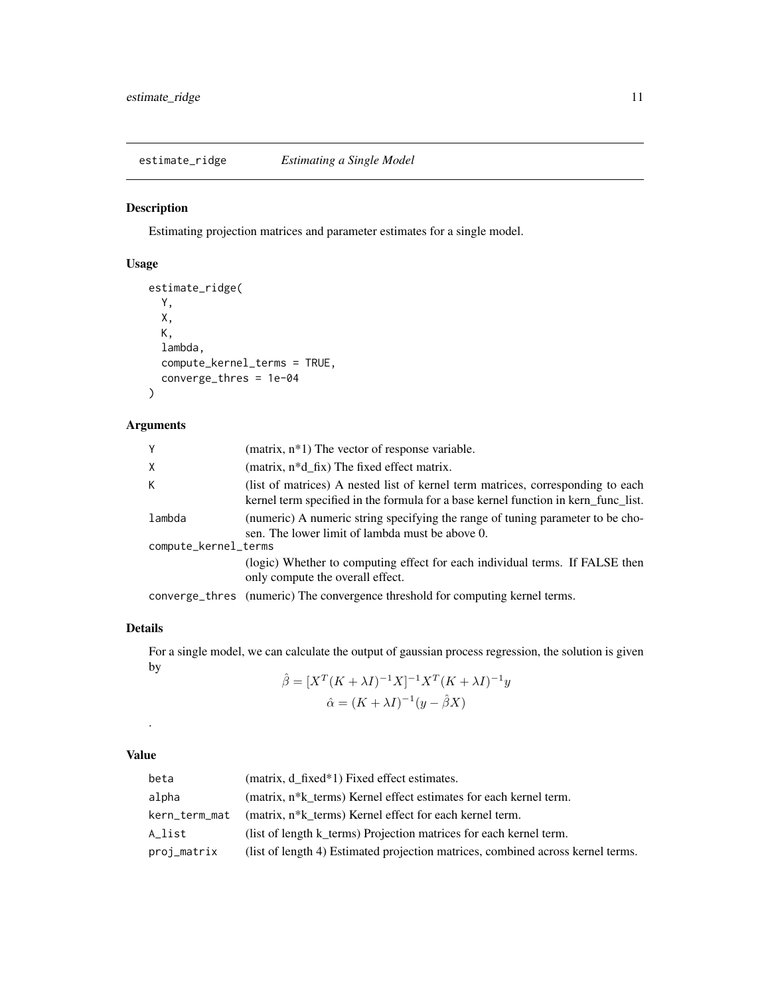<span id="page-10-0"></span>estimate\_ridge *Estimating a Single Model*

### Description

Estimating projection matrices and parameter estimates for a single model.

### Usage

```
estimate_ridge(
 Y,
 X,
 K,
  lambda,
 compute_kernel_terms = TRUE,
  converge_thres = 1e-04
)
```
### Arguments

| Y                    | (matrix, $n*1$ ) The vector of response variable.                                                                                                                     |
|----------------------|-----------------------------------------------------------------------------------------------------------------------------------------------------------------------|
| Χ                    | (matrix, n*d_fix) The fixed effect matrix.                                                                                                                            |
| K.                   | (list of matrices) A nested list of kernel term matrices, corresponding to each<br>kernel term specified in the formula for a base kernel function in kern_func_list. |
| lambda               | (numeric) A numeric string specifying the range of tuning parameter to be cho-<br>sen. The lower limit of lambda must be above 0.                                     |
| compute_kernel_terms |                                                                                                                                                                       |
|                      | (logic) Whether to computing effect for each individual terms. If FALSE then<br>only compute the overall effect.                                                      |
|                      | converge_thres (numeric) The convergence threshold for computing kernel terms.                                                                                        |

### Details

For a single model, we can calculate the output of gaussian process regression, the solution is given by

$$
\hat{\beta} = [X^T (K + \lambda I)^{-1} X]^{-1} X^T (K + \lambda I)^{-1} y
$$

$$
\hat{\alpha} = (K + \lambda I)^{-1} (y - \hat{\beta} X)
$$

### Value

.

| beta          | (matrix, d_fixed*1) Fixed effect estimates.                                     |
|---------------|---------------------------------------------------------------------------------|
| alpha         | (matrix, n <sup>*</sup> k terms) Kernel effect estimates for each kernel term.  |
| kern_term_mat | (matrix, n <sup>*</sup> k terms) Kernel effect for each kernel term.            |
| A list        | (list of length k_terms) Projection matrices for each kernel term.              |
| proj_matrix   | (list of length 4) Estimated projection matrices, combined across kernel terms. |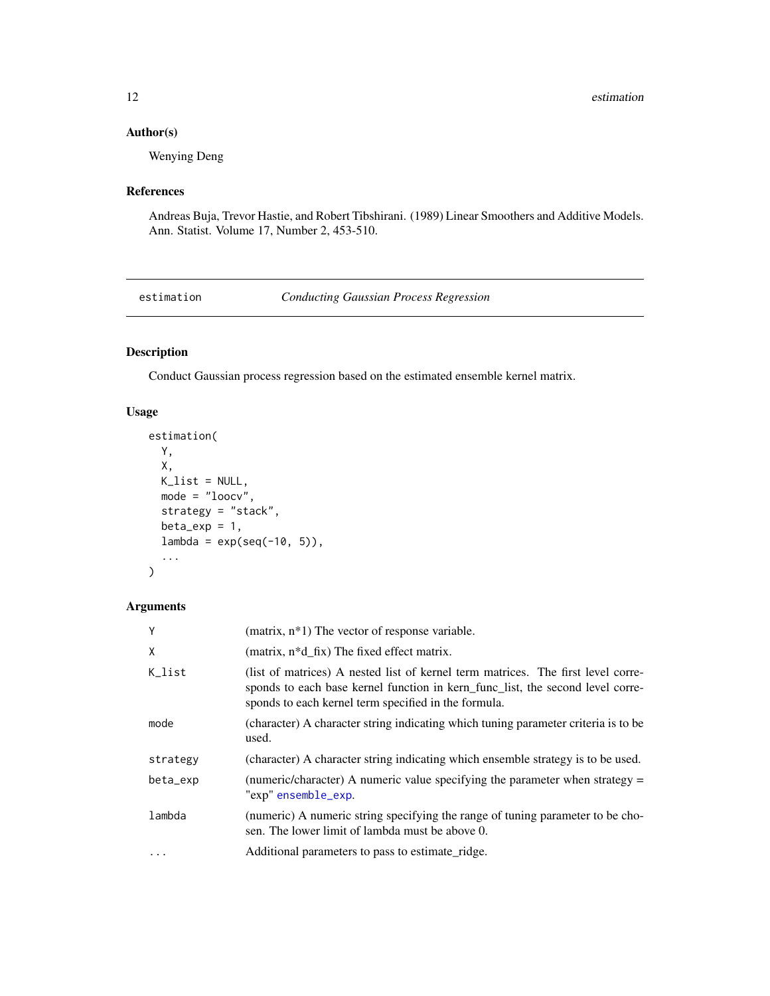### <span id="page-11-0"></span>Author(s)

Wenying Deng

#### References

Andreas Buja, Trevor Hastie, and Robert Tibshirani. (1989) Linear Smoothers and Additive Models. Ann. Statist. Volume 17, Number 2, 453-510.

<span id="page-11-1"></span>estimation *Conducting Gaussian Process Regression*

### Description

Conduct Gaussian process regression based on the estimated ensemble kernel matrix.

### Usage

```
estimation(
 Y,
 X,
 K_list = NULL,
 mode = "loocv",
  strategy = "stack",
 beta_{exp} = 1,
  lambda = exp(seq(-10, 5)),
  ...
)
```
### Arguments

| Y        | (matrix, $n*1$ ) The vector of response variable.                                                                                                                                                                          |
|----------|----------------------------------------------------------------------------------------------------------------------------------------------------------------------------------------------------------------------------|
| X        | (matrix, $n * d$ fix) The fixed effect matrix.                                                                                                                                                                             |
| K list   | (list of matrices) A nested list of kernel term matrices. The first level corre-<br>sponds to each base kernel function in kern func list, the second level corre-<br>sponds to each kernel term specified in the formula. |
| mode     | (character) A character string indicating which tuning parameter criteria is to be<br>used.                                                                                                                                |
| strategy | (character) A character string indicating which ensemble strategy is to be used.                                                                                                                                           |
| beta_exp | (numeric/character) A numeric value specifying the parameter when strategy $=$<br>"exp" ensemble_exp.                                                                                                                      |
| lambda   | (numeric) A numeric string specifying the range of tuning parameter to be cho-<br>sen. The lower limit of lambda must be above 0.                                                                                          |
| $\cdots$ | Additional parameters to pass to estimate ridge.                                                                                                                                                                           |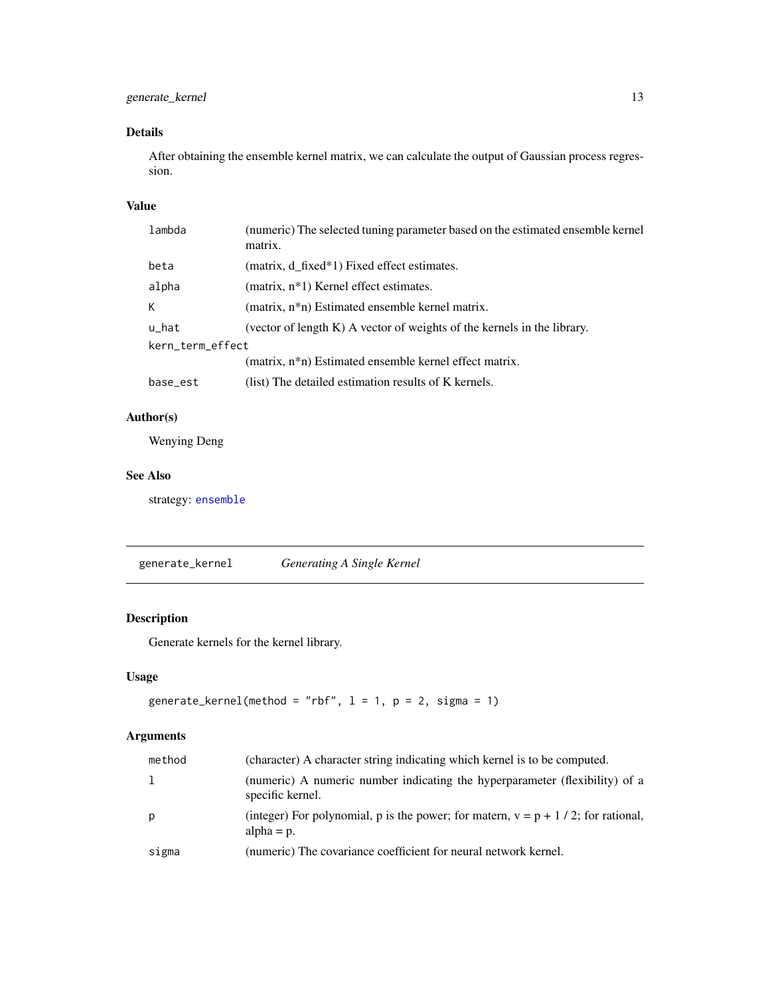### <span id="page-12-0"></span>Details

After obtaining the ensemble kernel matrix, we can calculate the output of Gaussian process regression.

#### Value

| lambda           | (numeric) The selected tuning parameter based on the estimated ensemble kernel<br>matrix. |
|------------------|-------------------------------------------------------------------------------------------|
| beta             | (matrix, d_fixed*1) Fixed effect estimates.                                               |
| alpha            | (matrix, n <sup>*</sup> 1) Kernel effect estimates.                                       |
| К                | (matrix, n <sup>*</sup> n) Estimated ensemble kernel matrix.                              |
| u_hat            | (vector of length K) A vector of weights of the kernels in the library.                   |
| kern_term_effect |                                                                                           |
|                  | (matrix, n*n) Estimated ensemble kernel effect matrix.                                    |
| base_est         | (list) The detailed estimation results of K kernels.                                      |

### Author(s)

Wenying Deng

#### See Also

strategy: [ensemble](#page-5-1)

<span id="page-12-1"></span>generate\_kernel *Generating A Single Kernel*

### Description

Generate kernels for the kernel library.

### Usage

```
generate_kernel(method = "rbf", l = 1, p = 2, sigma = 1)
```
### Arguments

| method | (character) A character string indicating which kernel is to be computed.                            |
|--------|------------------------------------------------------------------------------------------------------|
|        | (numeric) A numeric number indicating the hyperparameter (flexibility) of a<br>specific kernel.      |
| p      | (integer) For polynomial, p is the power; for matern, $v = p + 1/2$ ; for rational,<br>alpha $= p$ . |
| sigma  | (numeric) The covariance coefficient for neural network kernel.                                      |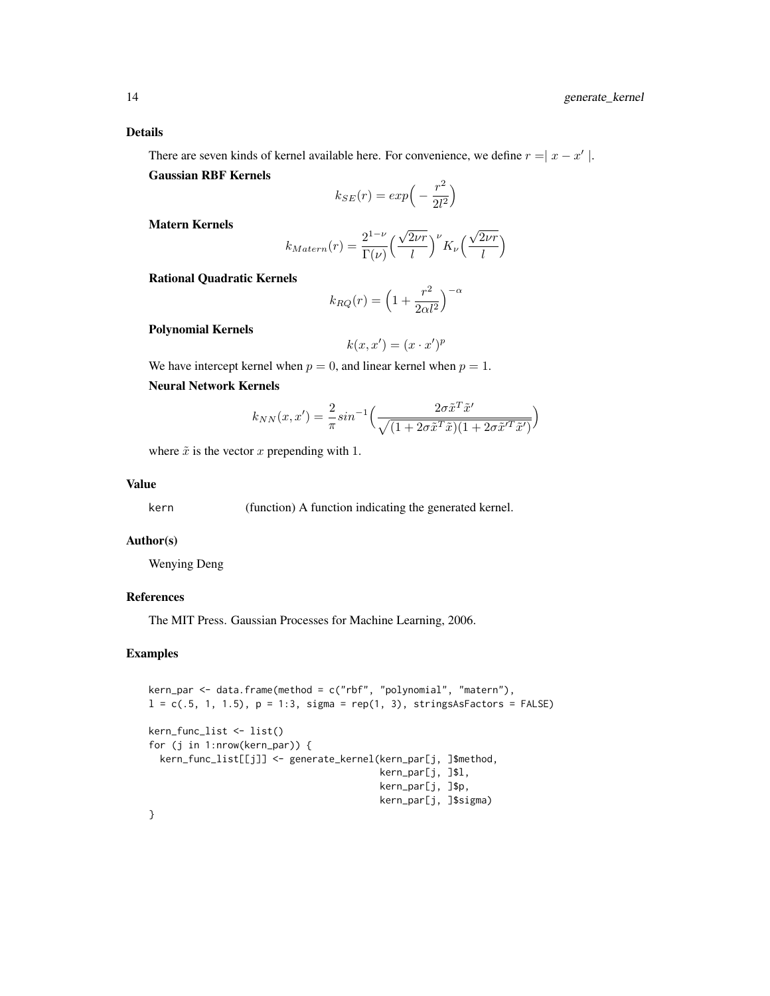There are seven kinds of kernel available here. For convenience, we define  $r = |x - x'|$ . Gaussian RBF Kernels

$$
k_{SE}(r) = exp\left(-\frac{r^2}{2l^2}\right)
$$

Matern Kernels

$$
k_{Matern}(r) = \frac{2^{1-\nu}}{\Gamma(\nu)} \left(\frac{\sqrt{2\nu r}}{l}\right)^{\nu} K_{\nu} \left(\frac{\sqrt{2\nu r}}{l}\right)
$$

Rational Quadratic Kernels

$$
k_{RQ}(r) = \left(1 + \frac{r^2}{2\alpha l^2}\right)^{-\alpha}
$$

Polynomial Kernels

$$
k(x, x') = (x \cdot x')^p
$$

We have intercept kernel when  $p = 0$ , and linear kernel when  $p = 1$ .

Neural Network Kernels

$$
k_{NN}(x, x') = \frac{2}{\pi} \sin^{-1} \left( \frac{2\sigma \tilde{x}^T \tilde{x}'}{\sqrt{(1 + 2\sigma \tilde{x}^T \tilde{x})(1 + 2\sigma \tilde{x}'^T \tilde{x}')} \right)
$$

where  $\tilde{x}$  is the vector x prepending with 1.

### Value

kern (function) A function indicating the generated kernel.

#### Author(s)

Wenying Deng

#### References

The MIT Press. Gaussian Processes for Machine Learning, 2006.

#### Examples

```
kern_par <- data.frame(method = c("rbf", "polynomial", "matern"),
l = c(.5, 1, 1.5), p = 1:3, sigma = rep(1, 3), stringsAsFactors = FALSE)kern_func_list <- list()
for (j in 1:nrow(kern_par)) {
 kern_func_list[[j]] <- generate_kernel(kern_par[j, ]$method,
                                         kern_par[j, ]$l,
                                         kern_par[j, ]$p,
                                         kern_par[j, ]$sigma)
}
```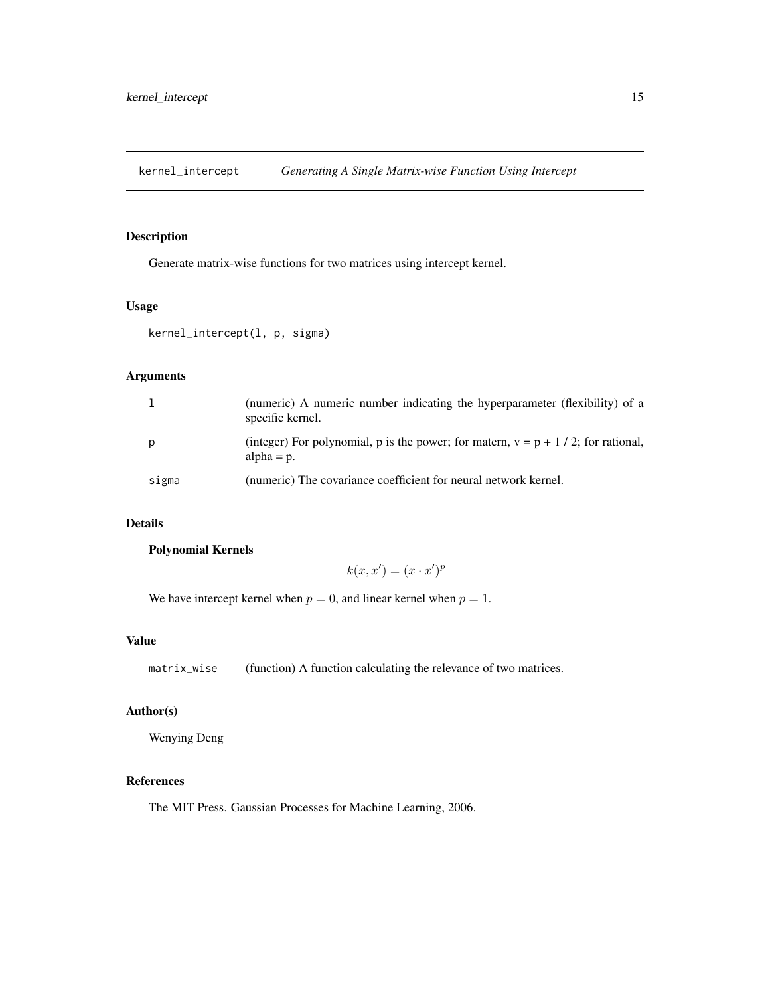<span id="page-14-0"></span>kernel\_intercept *Generating A Single Matrix-wise Function Using Intercept*

#### Description

Generate matrix-wise functions for two matrices using intercept kernel.

### Usage

```
kernel_intercept(l, p, sigma)
```
### Arguments

|       | (numeric) A numeric number indicating the hyperparameter (flexibility) of a<br>specific kernel.      |
|-------|------------------------------------------------------------------------------------------------------|
| p     | (integer) For polynomial, p is the power; for matern, $v = p + 1/2$ ; for rational,<br>alpha $= p$ . |
| sigma | (numeric) The covariance coefficient for neural network kernel.                                      |

### Details

#### Polynomial Kernels

$$
k(x, x') = (x \cdot x')^p
$$

We have intercept kernel when  $p = 0$ , and linear kernel when  $p = 1$ .

### Value

matrix\_wise (function) A function calculating the relevance of two matrices.

### Author(s)

Wenying Deng

### References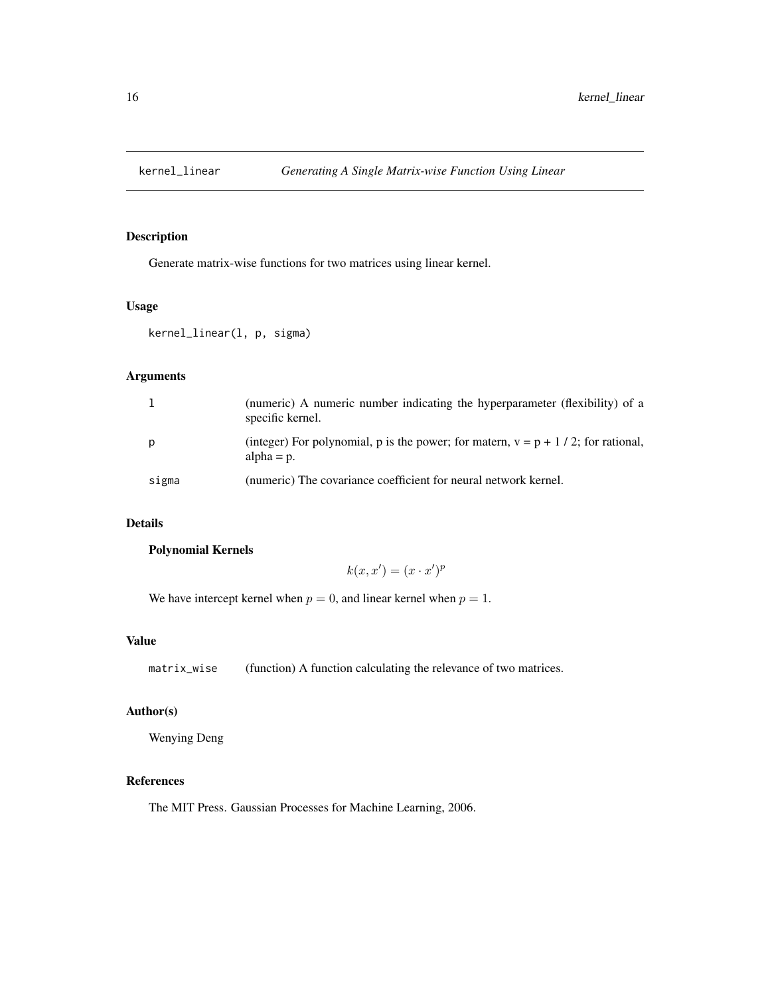<span id="page-15-0"></span>

Generate matrix-wise functions for two matrices using linear kernel.

### Usage

kernel\_linear(l, p, sigma)

### Arguments

|       | (numeric) A numeric number indicating the hyperparameter (flexibility) of a<br>specific kernel.      |
|-------|------------------------------------------------------------------------------------------------------|
| p     | (integer) For polynomial, p is the power; for matern, $v = p + 1/2$ ; for rational,<br>alpha $= p$ . |
| sigma | (numeric) The covariance coefficient for neural network kernel.                                      |

### Details

### Polynomial Kernels

$$
k(x, x') = (x \cdot x')^p
$$

We have intercept kernel when  $p = 0$ , and linear kernel when  $p = 1$ .

### Value

matrix\_wise (function) A function calculating the relevance of two matrices.

### Author(s)

Wenying Deng

### References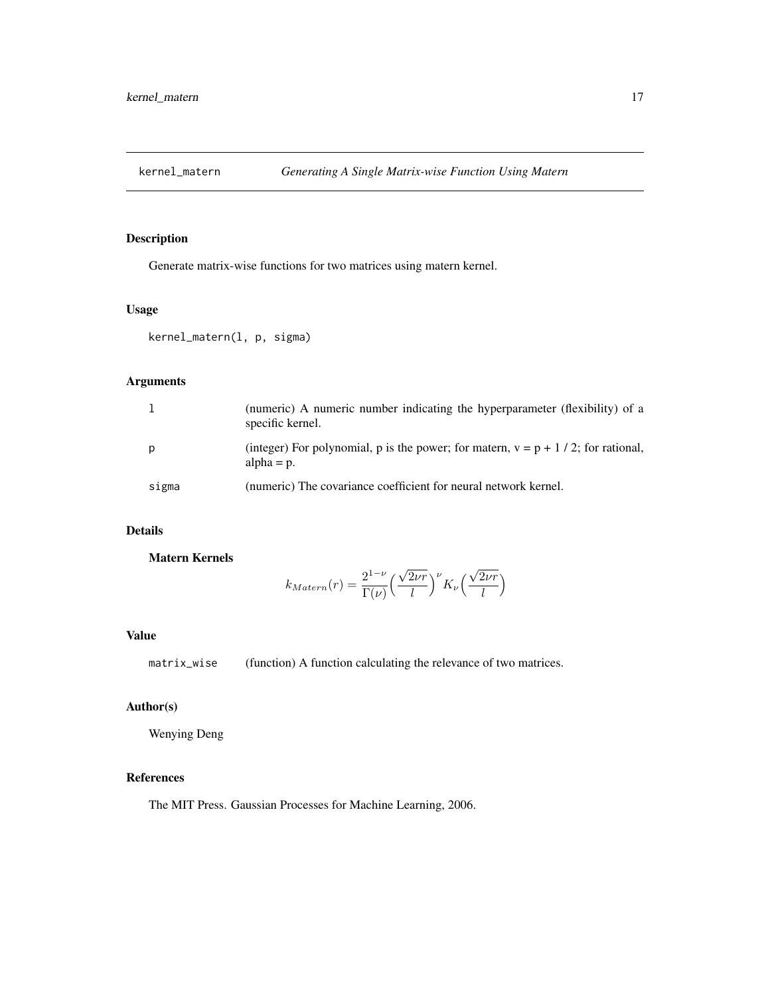<span id="page-16-0"></span>

Generate matrix-wise functions for two matrices using matern kernel.

### Usage

```
kernel_matern(l, p, sigma)
```
### Arguments

|       | (numeric) A numeric number indicating the hyperparameter (flexibility) of a<br>specific kernel.      |
|-------|------------------------------------------------------------------------------------------------------|
| p     | (integer) For polynomial, p is the power; for matern, $v = p + 1/2$ ; for rational,<br>alpha $= p$ . |
| sigma | (numeric) The covariance coefficient for neural network kernel.                                      |

### Details

Matern Kernels

$$
k_{Matern}(r) = \frac{2^{1-\nu}}{\Gamma(\nu)} \left(\frac{\sqrt{2\nu r}}{l}\right)^{\nu} K_{\nu} \left(\frac{\sqrt{2\nu r}}{l}\right)
$$

#### Value

matrix\_wise (function) A function calculating the relevance of two matrices.

#### Author(s)

Wenying Deng

### References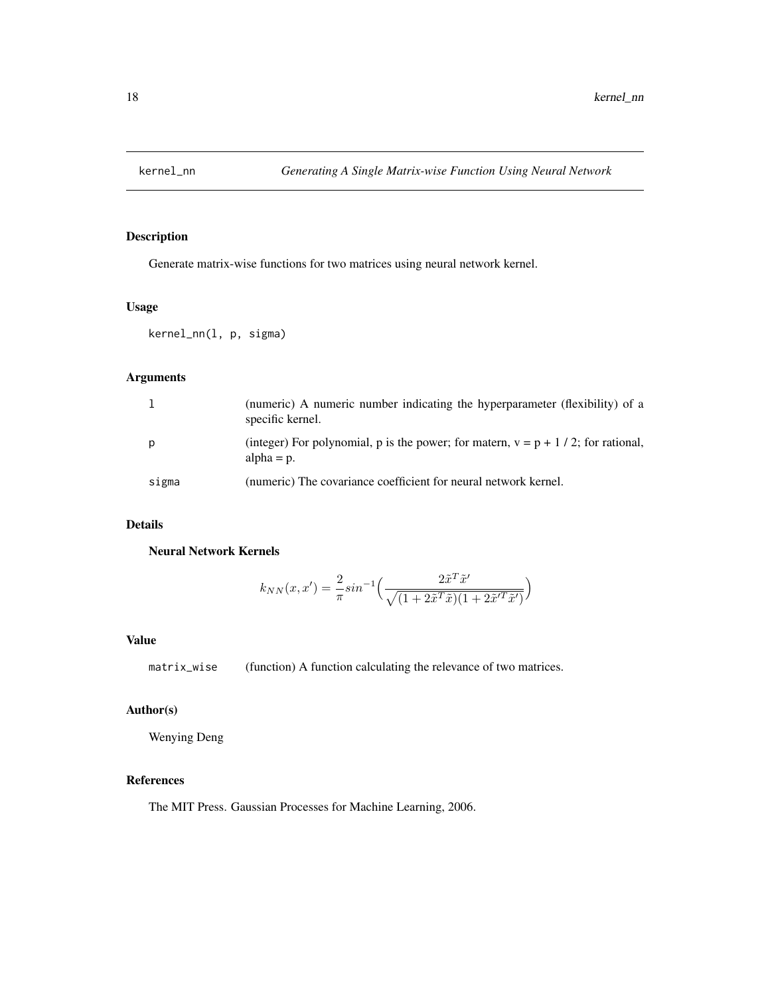<span id="page-17-0"></span>

Generate matrix-wise functions for two matrices using neural network kernel.

### Usage

kernel\_nn(l, p, sigma)

### Arguments

|       | (numeric) A numeric number indicating the hyperparameter (flexibility) of a<br>specific kernel.      |
|-------|------------------------------------------------------------------------------------------------------|
| p     | (integer) For polynomial, p is the power; for matern, $v = p + 1/2$ ; for rational,<br>$alpha = p$ . |
| sigma | (numeric) The covariance coefficient for neural network kernel.                                      |

### Details

Neural Network Kernels

$$
k_{NN}(x, x') = \frac{2}{\pi} \sin^{-1} \left( \frac{2\tilde{x}^T \tilde{x}'}{\sqrt{(1 + 2\tilde{x}^T \tilde{x})(1 + 2\tilde{x}'^T \tilde{x}')}} \right)
$$

### Value

matrix\_wise (function) A function calculating the relevance of two matrices.

### Author(s)

Wenying Deng

### References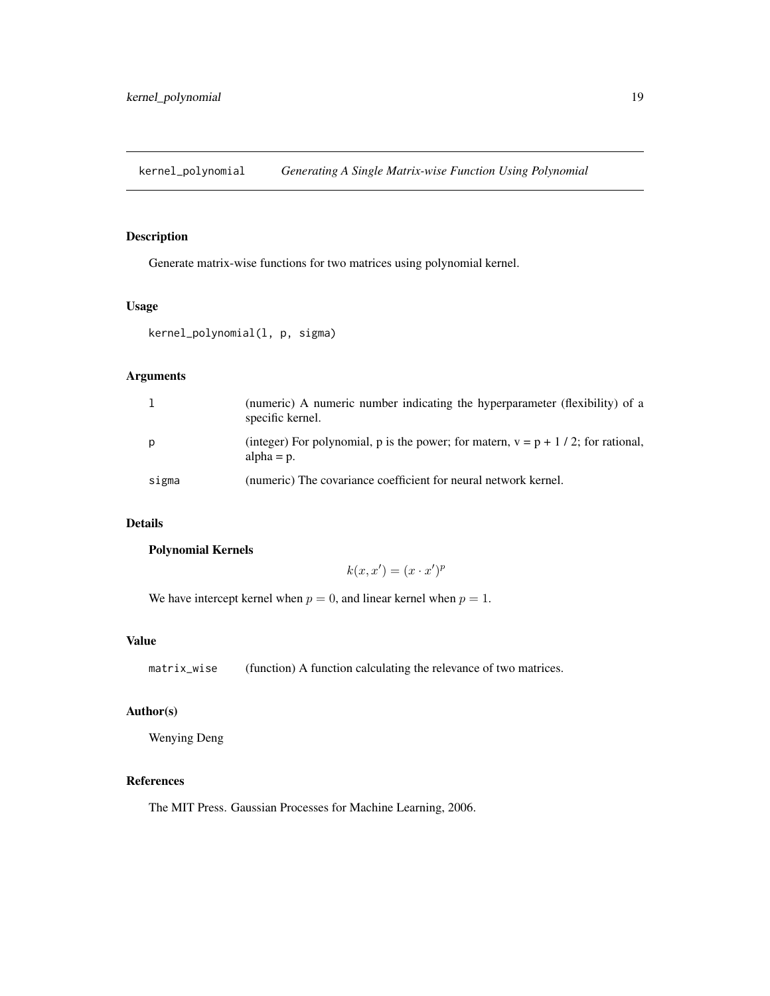<span id="page-18-0"></span>kernel\_polynomial *Generating A Single Matrix-wise Function Using Polynomial*

#### Description

Generate matrix-wise functions for two matrices using polynomial kernel.

### Usage

```
kernel_polynomial(l, p, sigma)
```
### Arguments

|       | (numeric) A numeric number indicating the hyperparameter (flexibility) of a<br>specific kernel.      |
|-------|------------------------------------------------------------------------------------------------------|
| p     | (integer) For polynomial, p is the power; for matern, $v = p + 1/2$ ; for rational,<br>alpha $= p$ . |
| sigma | (numeric) The covariance coefficient for neural network kernel.                                      |

### Details

#### Polynomial Kernels

$$
k(x, x') = (x \cdot x')^p
$$

We have intercept kernel when  $p = 0$ , and linear kernel when  $p = 1$ .

### Value

matrix\_wise (function) A function calculating the relevance of two matrices.

### Author(s)

Wenying Deng

### References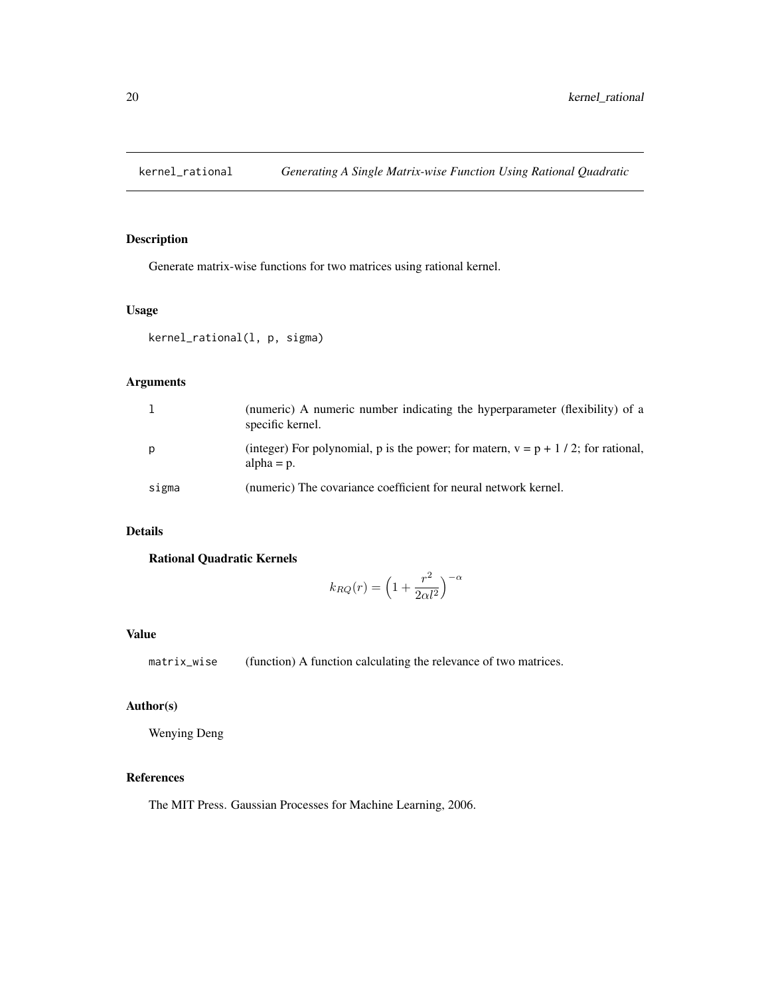<span id="page-19-0"></span>

Generate matrix-wise functions for two matrices using rational kernel.

### Usage

```
kernel_rational(l, p, sigma)
```
### Arguments

|       | (numeric) A numeric number indicating the hyperparameter (flexibility) of a<br>specific kernel.      |
|-------|------------------------------------------------------------------------------------------------------|
| p     | (integer) For polynomial, p is the power; for matern, $v = p + 1/2$ ; for rational,<br>alpha $= p$ . |
| sigma | (numeric) The covariance coefficient for neural network kernel.                                      |

### Details

Rational Quadratic Kernels

$$
k_{RQ}(r)=\Big(1+\frac{r^2}{2\alpha l^2}\Big)^{-\alpha}
$$

#### Value

matrix\_wise (function) A function calculating the relevance of two matrices.

### Author(s)

Wenying Deng

### References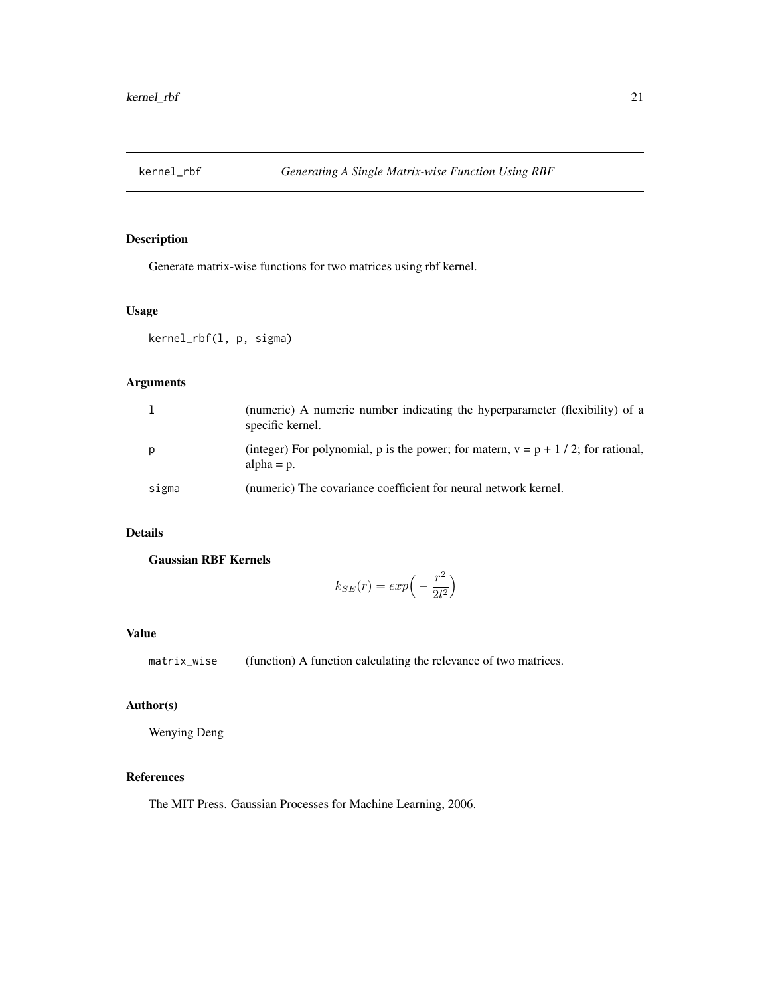<span id="page-20-0"></span>

Generate matrix-wise functions for two matrices using rbf kernel.

### Usage

kernel\_rbf(l, p, sigma)

### Arguments

|       | (numeric) A numeric number indicating the hyperparameter (flexibility) of a<br>specific kernel.      |
|-------|------------------------------------------------------------------------------------------------------|
|       | (integer) For polynomial, p is the power; for matern, $v = p + 1/2$ ; for rational,<br>alpha $= p$ . |
| sigma | (numeric) The covariance coefficient for neural network kernel.                                      |

### Details

Gaussian RBF Kernels

$$
k_{SE}(r) = exp\left(-\frac{r^2}{2l^2}\right)
$$

#### Value

matrix\_wise (function) A function calculating the relevance of two matrices.

### Author(s)

Wenying Deng

### References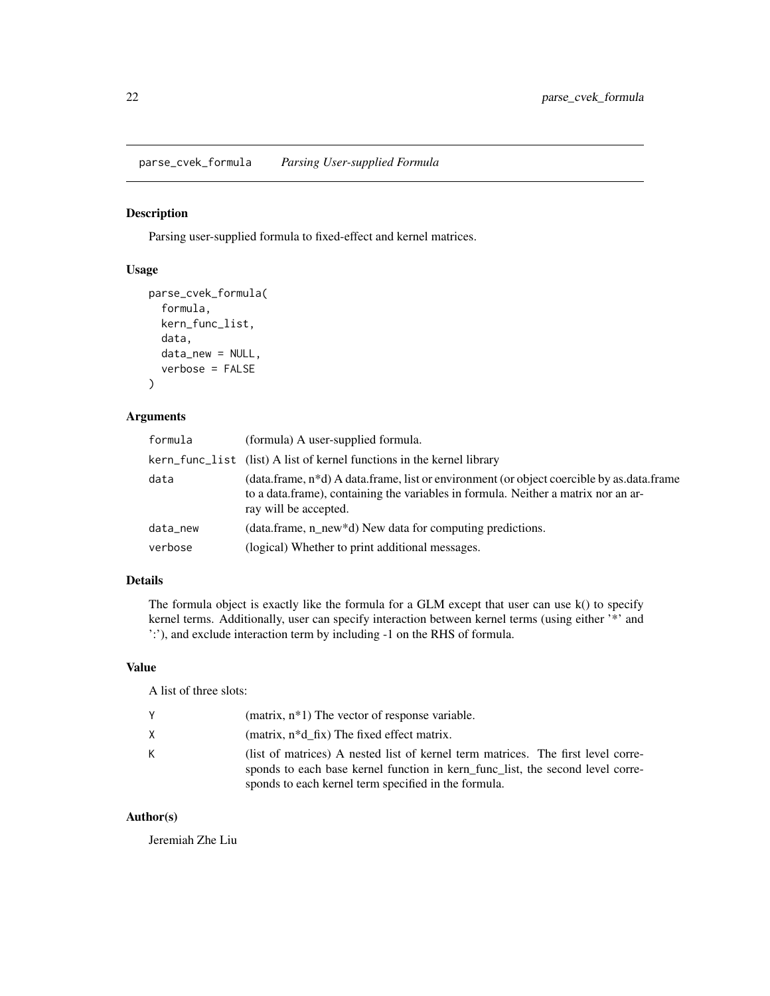<span id="page-21-0"></span>parse\_cvek\_formula *Parsing User-supplied Formula*

#### Description

Parsing user-supplied formula to fixed-effect and kernel matrices.

### Usage

```
parse_cvek_formula(
  formula,
 kern_func_list,
  data,
  data_new = NULL,
  verbose = FALSE
)
```
### Arguments

| formula  | (formula) A user-supplied formula.                                                                                                                                                                                    |
|----------|-----------------------------------------------------------------------------------------------------------------------------------------------------------------------------------------------------------------------|
|          | kern_func_list (list) A list of kernel functions in the kernel library                                                                                                                                                |
| data     | (data.frame, n <sup>*</sup> d) A data.frame, list or environment (or object coercible by as.data.frame<br>to a data.frame), containing the variables in formula. Neither a matrix nor an ar-<br>ray will be accepted. |
| data_new | (data.frame, n_new*d) New data for computing predictions.                                                                                                                                                             |
| verbose  | (logical) Whether to print additional messages.                                                                                                                                                                       |

### Details

The formula object is exactly like the formula for a GLM except that user can use k() to specify kernel terms. Additionally, user can specify interaction between kernel terms (using either '\*' and ':'), and exclude interaction term by including -1 on the RHS of formula.

#### Value

A list of three slots:

|    | $(matrix, n*1)$ The vector of response variable.                                                                                                                                                                           |
|----|----------------------------------------------------------------------------------------------------------------------------------------------------------------------------------------------------------------------------|
| X. | (matrix, $n * d$ fix) The fixed effect matrix.                                                                                                                                                                             |
| К  | (list of matrices) A nested list of kernel term matrices. The first level corre-<br>sponds to each base kernel function in kern func list, the second level corre-<br>sponds to each kernel term specified in the formula. |

### Author(s)

Jeremiah Zhe Liu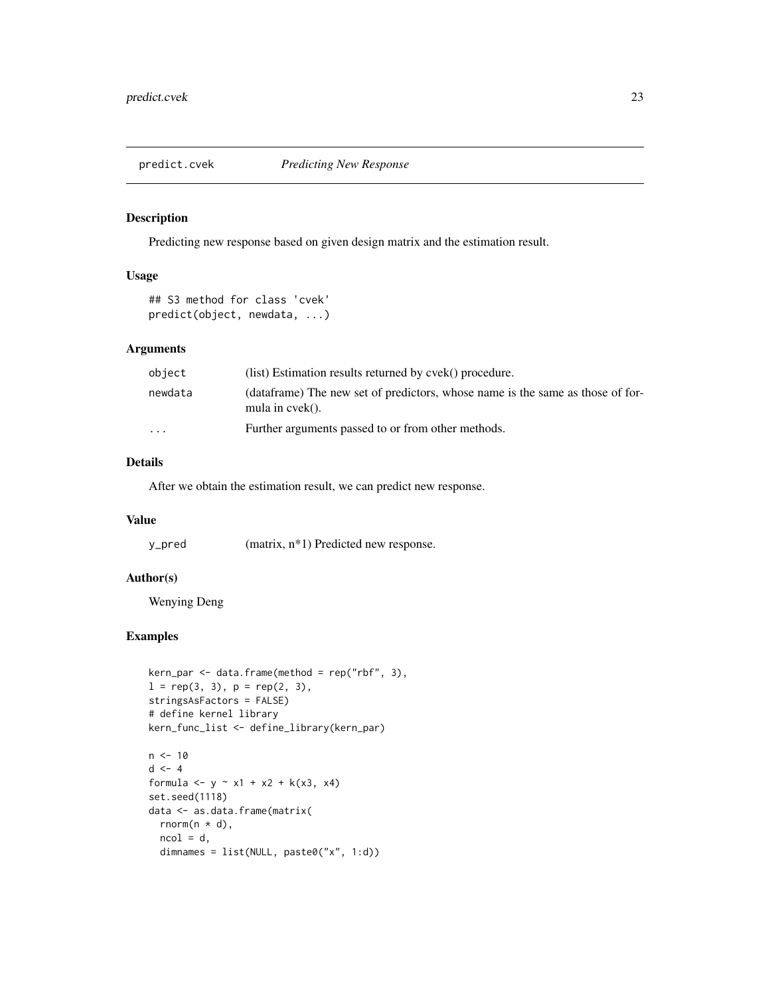<span id="page-22-0"></span>

Predicting new response based on given design matrix and the estimation result.

### Usage

```
## S3 method for class 'cvek'
predict(object, newdata, ...)
```
#### Arguments

| object                  | (list) Estimation results returned by cvek() procedure.                                              |
|-------------------------|------------------------------------------------------------------------------------------------------|
| newdata                 | (dataframe) The new set of predictors, whose name is the same as those of for-<br>mula in $cvek()$ . |
| $\cdot$ $\cdot$ $\cdot$ | Further arguments passed to or from other methods.                                                   |

### Details

After we obtain the estimation result, we can predict new response.

#### Value

y\_pred (matrix, n\*1) Predicted new response.

#### Author(s)

Wenying Deng

### Examples

```
kern\_par \leftarrow data.frame(method = rep("rbf", 3),
l = rep(3, 3), p = rep(2, 3),stringsAsFactors = FALSE)
# define kernel library
kern_func_list <- define_library(kern_par)
n < -10d \le -4formula <- y \sim x1 + x2 + k(x3, x4)set.seed(1118)
data <- as.data.frame(matrix(
```

```
rnorm(n * d),
ncol = d,
dimnames = list(NULL, paste0("x", 1:d))
```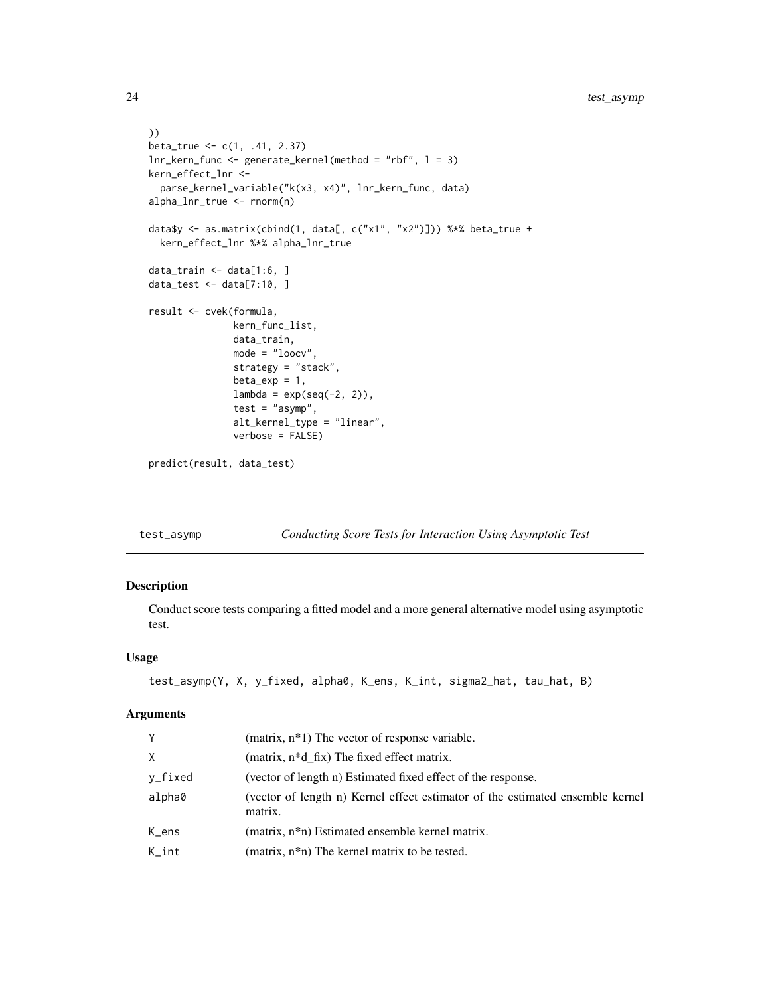```
))
beta_true <- c(1, .41, 2.37)
lnr_kern_func <- generate_kernel(method = "rbf", l = 3)
kern_effect_lnr <-
  parse_kernel_variable("k(x3, x4)", lnr_kern_func, data)
alpha_lnr_true <- rnorm(n)
data$y <- as.matrix(cbind(1, data[, c("x1", "x2")])) %*% beta_true +
  kern_effect_lnr %*% alpha_lnr_true
data_train <- data[1:6, ]
data_test <- data[7:10, ]
result <- cvek(formula,
               kern_func_list,
               data_train,
               mode = "loocv",
               strategy = "stack",
               beta\_exp = 1,
               lambda = exp(seq(-2, 2)),test = "asymp",
               alt_kernel_type = "linear",
               verbose = FALSE)
predict(result, data_test)
```
test\_asymp *Conducting Score Tests for Interaction Using Asymptotic Test*

#### Description

Conduct score tests comparing a fitted model and a more general alternative model using asymptotic test.

#### Usage

```
test_asymp(Y, X, y_fixed, alpha0, K_ens, K_int, sigma2_hat, tau_hat, B)
```
#### Arguments

| Y        | (matrix, $n*1$ ) The vector of response variable.                                        |
|----------|------------------------------------------------------------------------------------------|
| X        | (matrix, n*d_fix) The fixed effect matrix.                                               |
| y_fixed  | (vector of length n) Estimated fixed effect of the response.                             |
| alpha0   | (vector of length n) Kernel effect estimator of the estimated ensemble kernel<br>matrix. |
| K_ens    | (matrix, n <sup>*</sup> n) Estimated ensemble kernel matrix.                             |
| $K_$ int | (matrix, $n * n$ ) The kernel matrix to be tested.                                       |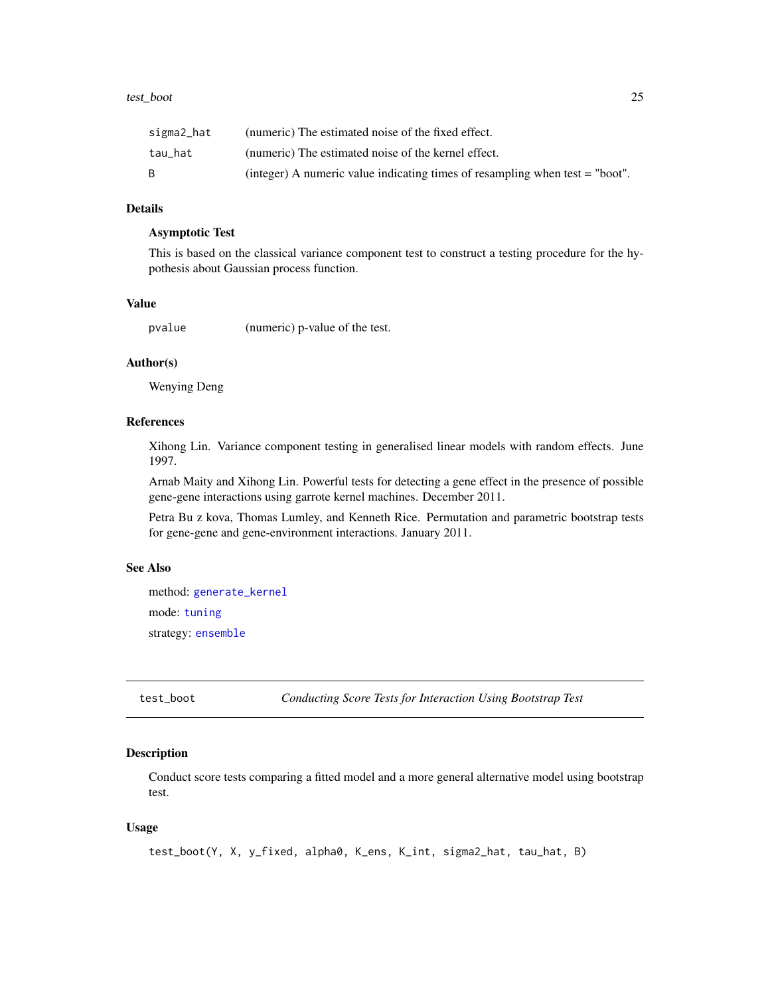#### <span id="page-24-0"></span>test\_boot 25

| sigma2_hat | (numeric) The estimated noise of the fixed effect.                             |
|------------|--------------------------------------------------------------------------------|
| tau hat    | (numeric) The estimated noise of the kernel effect.                            |
|            | (integer) A numeric value indicating times of resampling when test $=$ "boot". |

#### Details

### Asymptotic Test

This is based on the classical variance component test to construct a testing procedure for the hypothesis about Gaussian process function.

### Value

pvalue (numeric) p-value of the test.

#### Author(s)

Wenying Deng

### References

Xihong Lin. Variance component testing in generalised linear models with random effects. June 1997.

Arnab Maity and Xihong Lin. Powerful tests for detecting a gene effect in the presence of possible gene-gene interactions using garrote kernel machines. December 2011.

Petra Bu z kova, Thomas Lumley, and Kenneth Rice. Permutation and parametric bootstrap tests for gene-gene and gene-environment interactions. January 2011.

### See Also

method: [generate\\_kernel](#page-12-1) mode: [tuning](#page-26-1) strategy: [ensemble](#page-5-1)

test\_boot *Conducting Score Tests for Interaction Using Bootstrap Test*

#### Description

Conduct score tests comparing a fitted model and a more general alternative model using bootstrap test.

#### Usage

```
test_boot(Y, X, y_fixed, alpha0, K_ens, K_int, sigma2_hat, tau_hat, B)
```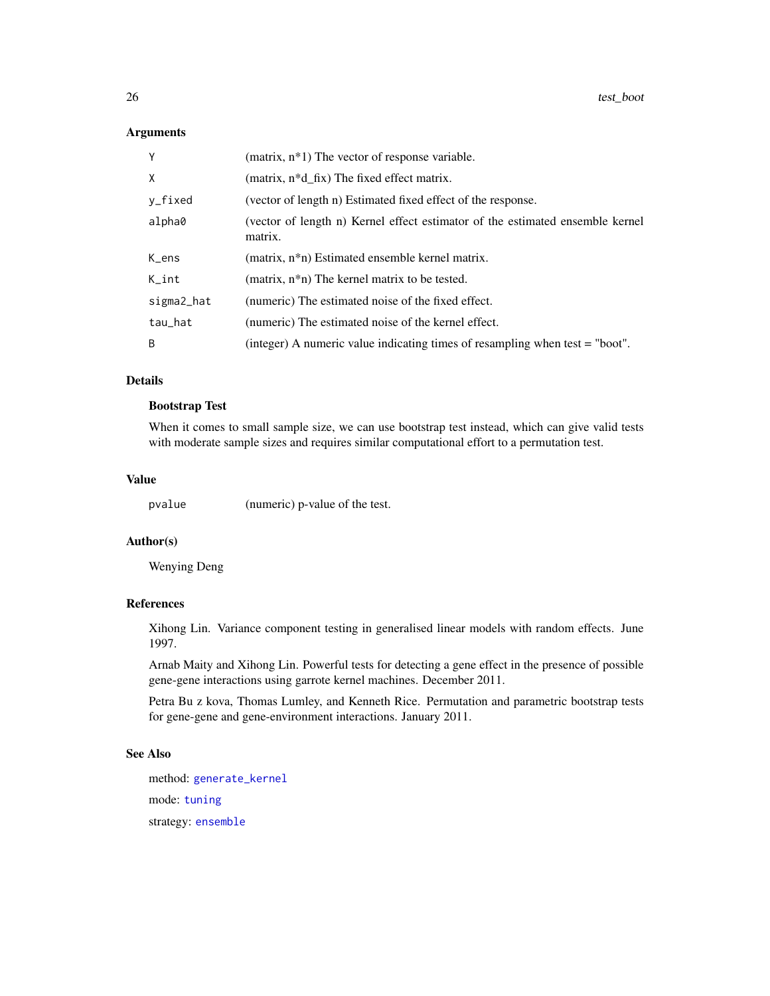#### Arguments

| Y          | (matrix, $n*1$ ) The vector of response variable.                                        |
|------------|------------------------------------------------------------------------------------------|
| X          | (matrix, n*d_fix) The fixed effect matrix.                                               |
| y_fixed    | (vector of length n) Estimated fixed effect of the response.                             |
| alpha0     | (vector of length n) Kernel effect estimator of the estimated ensemble kernel<br>matrix. |
| K_ens      | (matrix, n <sup>*</sup> n) Estimated ensemble kernel matrix.                             |
| $K_$ int   | (matrix, $n * n$ ) The kernel matrix to be tested.                                       |
| sigma2_hat | (numeric) The estimated noise of the fixed effect.                                       |
| tau_hat    | (numeric) The estimated noise of the kernel effect.                                      |
| B          | (integer) A numeric value indicating times of resampling when test = "boot".             |

### Details

#### Bootstrap Test

When it comes to small sample size, we can use bootstrap test instead, which can give valid tests with moderate sample sizes and requires similar computational effort to a permutation test.

#### Value

pvalue (numeric) p-value of the test.

### Author(s)

Wenying Deng

#### References

Xihong Lin. Variance component testing in generalised linear models with random effects. June 1997.

Arnab Maity and Xihong Lin. Powerful tests for detecting a gene effect in the presence of possible gene-gene interactions using garrote kernel machines. December 2011.

Petra Bu z kova, Thomas Lumley, and Kenneth Rice. Permutation and parametric bootstrap tests for gene-gene and gene-environment interactions. January 2011.

### See Also

method: [generate\\_kernel](#page-12-1) mode: [tuning](#page-26-1) strategy: [ensemble](#page-5-1)

<span id="page-25-0"></span>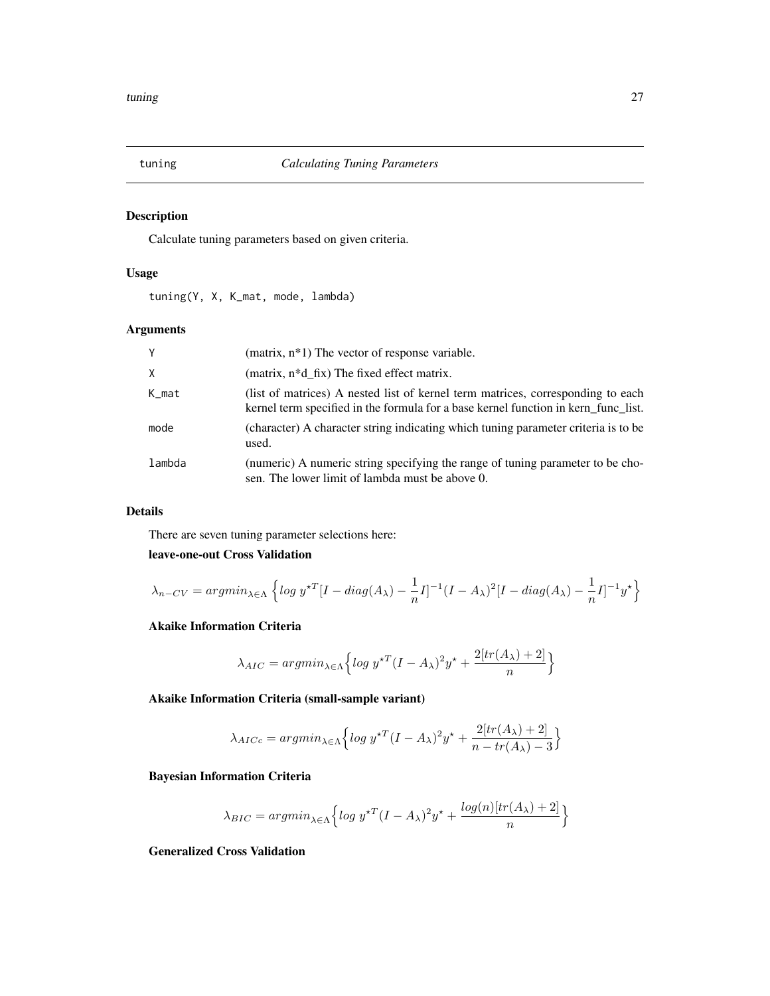<span id="page-26-1"></span><span id="page-26-0"></span>

Calculate tuning parameters based on given criteria.

### Usage

tuning(Y, X, K\_mat, mode, lambda)

### Arguments

| Y        | (matrix, $n*1$ ) The vector of response variable.                                                                                                                     |
|----------|-----------------------------------------------------------------------------------------------------------------------------------------------------------------------|
| $\times$ | (matrix, n <sup>*</sup> d fix) The fixed effect matrix.                                                                                                               |
| K_mat    | (list of matrices) A nested list of kernel term matrices, corresponding to each<br>kernel term specified in the formula for a base kernel function in kern func list. |
| mode     | (character) A character string indicating which tuning parameter criteria is to be<br>used.                                                                           |
| lambda   | (numeric) A numeric string specifying the range of tuning parameter to be cho-<br>sen. The lower limit of lambda must be above 0.                                     |

### Details

There are seven tuning parameter selections here:

### leave-one-out Cross Validation

$$
\lambda_{n-CV} = argmin_{\lambda \in \Lambda} \left\{ log \ y^{\star T} [I - diag(A_{\lambda}) - \frac{1}{n} I]^{-1} (I - A_{\lambda})^2 [I - diag(A_{\lambda}) - \frac{1}{n} I]^{-1} y^{\star} \right\}
$$

### Akaike Information Criteria

$$
\lambda_{AIC} = argmin_{\lambda \in \Lambda} \left\{ \log y^{\star T} (I - A_{\lambda})^2 y^{\star} + \frac{2[tr(A_{\lambda}) + 2]}{n} \right\}
$$

Akaike Information Criteria (small-sample variant)

$$
\lambda_{AICc} = argmin_{\lambda \in \Lambda} \left\{ \log y^{\star T} (I - A_{\lambda})^2 y^{\star} + \frac{2[tr(A_{\lambda}) + 2]}{n - tr(A_{\lambda}) - 3} \right\}
$$

Bayesian Information Criteria

$$
\lambda_{BIC} = argmin_{\lambda \in \Lambda} \left\{ \log y^{\star T} (I - A_{\lambda})^2 y^{\star} + \frac{\log(n)[tr(A_{\lambda}) + 2]}{n} \right\}
$$

Generalized Cross Validation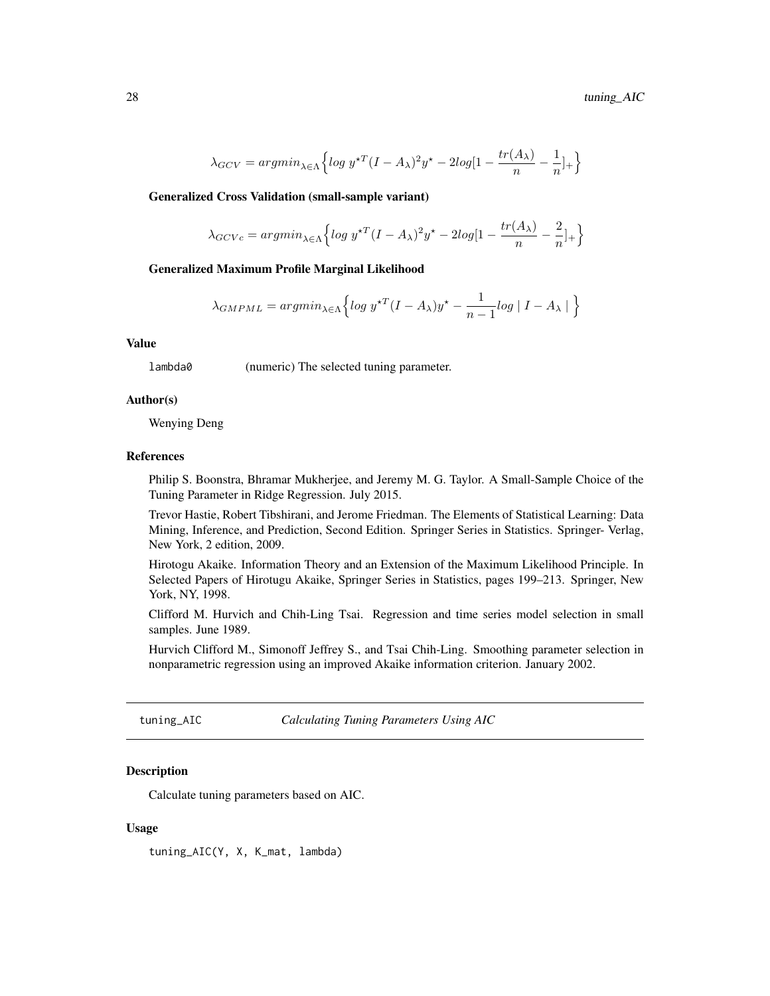<span id="page-27-0"></span>
$$
\lambda_{GCV} = argmin_{\lambda \in \Lambda} \left\{ \log y^{\star T} (I - A_{\lambda})^2 y^{\star} - 2\log[1 - \frac{tr(A_{\lambda})}{n} - \frac{1}{n}]_{+} \right\}
$$

Generalized Cross Validation (small-sample variant)

$$
\lambda_{GCVc} = argmin_{\lambda \in \Lambda} \left\{ \log y^{\star T} (I - A_{\lambda})^2 y^{\star} - 2\log[1 - \frac{tr(A_{\lambda})}{n} - \frac{2}{n}]_{+} \right\}
$$

#### Generalized Maximum Profile Marginal Likelihood

$$
\lambda_{GMPML} = argmin_{\lambda \in \Lambda} \left\{ \log y^{\star T} (I - A_{\lambda}) y^{\star} - \frac{1}{n-1} \log |I - A_{\lambda}| \right\}
$$

#### Value

lambda0 (numeric) The selected tuning parameter.

#### Author(s)

Wenying Deng

### References

Philip S. Boonstra, Bhramar Mukherjee, and Jeremy M. G. Taylor. A Small-Sample Choice of the Tuning Parameter in Ridge Regression. July 2015.

Trevor Hastie, Robert Tibshirani, and Jerome Friedman. The Elements of Statistical Learning: Data Mining, Inference, and Prediction, Second Edition. Springer Series in Statistics. Springer- Verlag, New York, 2 edition, 2009.

Hirotogu Akaike. Information Theory and an Extension of the Maximum Likelihood Principle. In Selected Papers of Hirotugu Akaike, Springer Series in Statistics, pages 199–213. Springer, New York, NY, 1998.

Clifford M. Hurvich and Chih-Ling Tsai. Regression and time series model selection in small samples. June 1989.

Hurvich Clifford M., Simonoff Jeffrey S., and Tsai Chih-Ling. Smoothing parameter selection in nonparametric regression using an improved Akaike information criterion. January 2002.

tuning\_AIC *Calculating Tuning Parameters Using AIC*

#### Description

Calculate tuning parameters based on AIC.

#### Usage

tuning\_AIC(Y, X, K\_mat, lambda)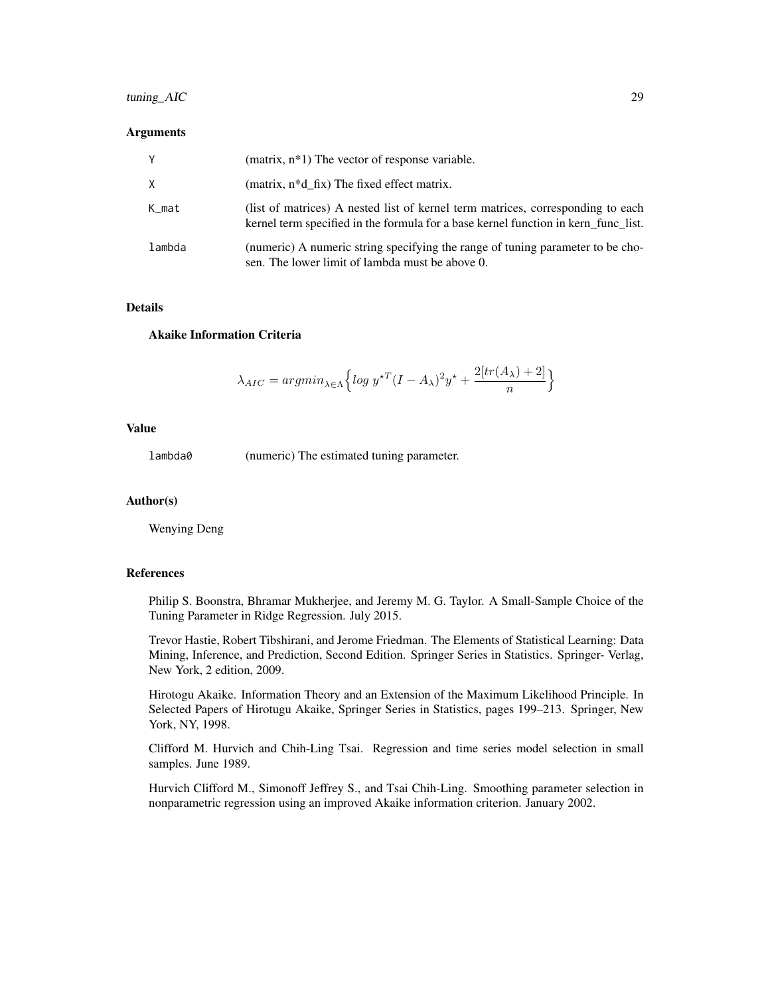### tuning\_AIC 29

#### **Arguments**

| Y      | (matrix, $n*1$ ) The vector of response variable.                                                                                                                     |
|--------|-----------------------------------------------------------------------------------------------------------------------------------------------------------------------|
| X      | (matrix, n*d fix) The fixed effect matrix.                                                                                                                            |
| K_mat  | (list of matrices) A nested list of kernel term matrices, corresponding to each<br>kernel term specified in the formula for a base kernel function in kern func list. |
| lambda | (numeric) A numeric string specifying the range of tuning parameter to be cho-<br>sen. The lower limit of lambda must be above 0.                                     |

### Details

#### Akaike Information Criteria

$$
\lambda_{AIC} = argmin_{\lambda \in \Lambda} \left\{ \log y^{\star T} (I - A_{\lambda})^2 y^{\star} + \frac{2[tr(A_{\lambda}) + 2]}{n} \right\}
$$

### Value

lambda0 (numeric) The estimated tuning parameter.

#### Author(s)

Wenying Deng

#### References

Philip S. Boonstra, Bhramar Mukherjee, and Jeremy M. G. Taylor. A Small-Sample Choice of the Tuning Parameter in Ridge Regression. July 2015.

Trevor Hastie, Robert Tibshirani, and Jerome Friedman. The Elements of Statistical Learning: Data Mining, Inference, and Prediction, Second Edition. Springer Series in Statistics. Springer- Verlag, New York, 2 edition, 2009.

Hirotogu Akaike. Information Theory and an Extension of the Maximum Likelihood Principle. In Selected Papers of Hirotugu Akaike, Springer Series in Statistics, pages 199–213. Springer, New York, NY, 1998.

Clifford M. Hurvich and Chih-Ling Tsai. Regression and time series model selection in small samples. June 1989.

Hurvich Clifford M., Simonoff Jeffrey S., and Tsai Chih-Ling. Smoothing parameter selection in nonparametric regression using an improved Akaike information criterion. January 2002.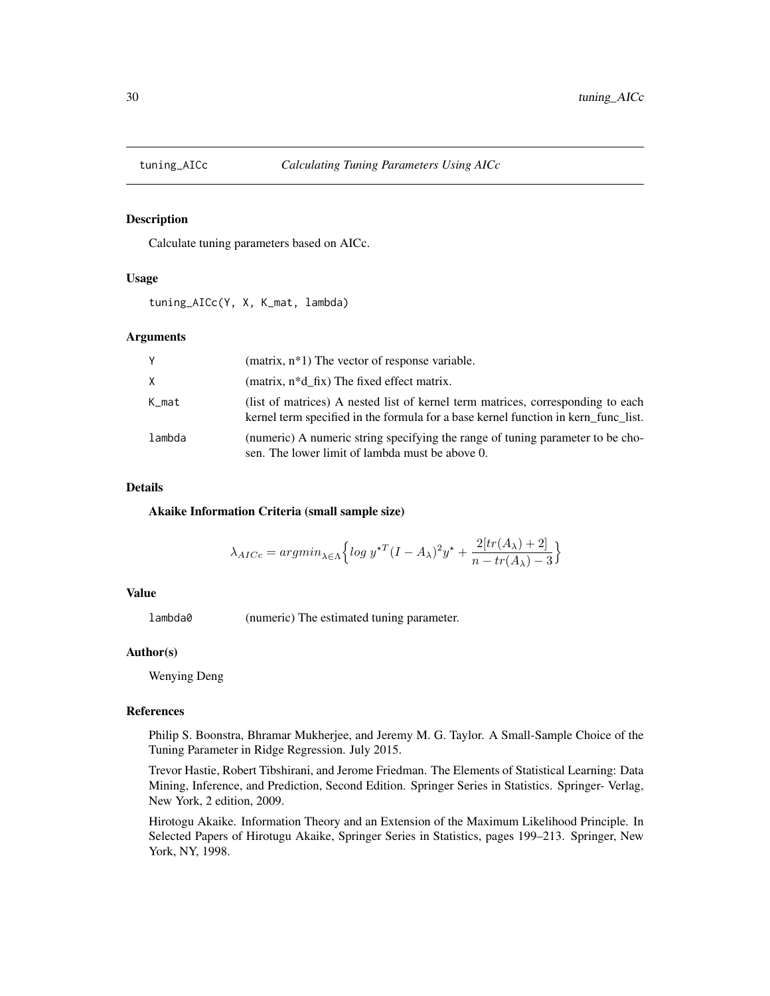<span id="page-29-0"></span>

Calculate tuning parameters based on AICc.

#### Usage

tuning\_AICc(Y, X, K\_mat, lambda)

#### Arguments

| Y      | (matrix, $n*1$ ) The vector of response variable.                                                                                                                     |
|--------|-----------------------------------------------------------------------------------------------------------------------------------------------------------------------|
| X      | (matrix, n*d fix) The fixed effect matrix.                                                                                                                            |
| K_mat  | (list of matrices) A nested list of kernel term matrices, corresponding to each<br>kernel term specified in the formula for a base kernel function in kern func list. |
| lambda | (numeric) A numeric string specifying the range of tuning parameter to be cho-<br>sen. The lower limit of lambda must be above 0.                                     |

#### Details

Akaike Information Criteria (small sample size)

$$
\lambda_{AICc} = argmin_{\lambda \in \Lambda} \left\{ \log y^{\star T} (I - A_{\lambda})^2 y^{\star} + \frac{2[tr(A_{\lambda}) + 2]}{n - tr(A_{\lambda}) - 3} \right\}
$$

#### Value

lambda0 (numeric) The estimated tuning parameter.

#### Author(s)

Wenying Deng

#### References

Philip S. Boonstra, Bhramar Mukherjee, and Jeremy M. G. Taylor. A Small-Sample Choice of the Tuning Parameter in Ridge Regression. July 2015.

Trevor Hastie, Robert Tibshirani, and Jerome Friedman. The Elements of Statistical Learning: Data Mining, Inference, and Prediction, Second Edition. Springer Series in Statistics. Springer- Verlag, New York, 2 edition, 2009.

Hirotogu Akaike. Information Theory and an Extension of the Maximum Likelihood Principle. In Selected Papers of Hirotugu Akaike, Springer Series in Statistics, pages 199–213. Springer, New York, NY, 1998.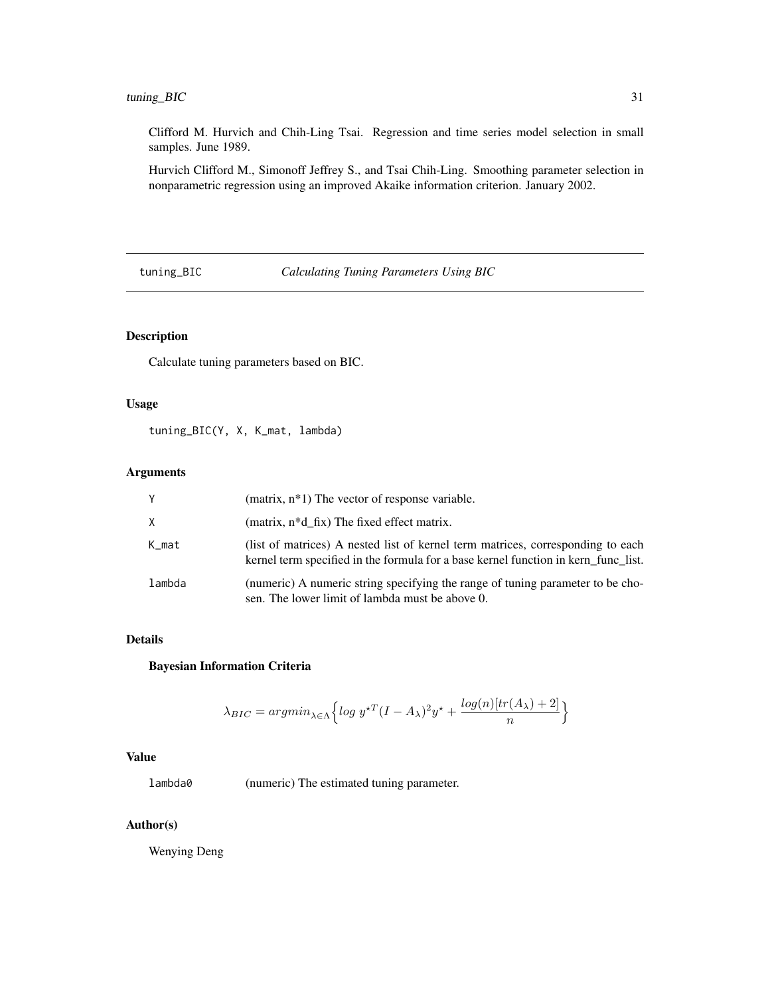### <span id="page-30-0"></span>tuning\_BIC 31

Clifford M. Hurvich and Chih-Ling Tsai. Regression and time series model selection in small samples. June 1989.

Hurvich Clifford M., Simonoff Jeffrey S., and Tsai Chih-Ling. Smoothing parameter selection in nonparametric regression using an improved Akaike information criterion. January 2002.

tuning\_BIC *Calculating Tuning Parameters Using BIC*

### Description

Calculate tuning parameters based on BIC.

#### Usage

tuning\_BIC(Y, X, K\_mat, lambda)

#### Arguments

| Y      | (matrix, $n*1$ ) The vector of response variable.                                                                                                                     |
|--------|-----------------------------------------------------------------------------------------------------------------------------------------------------------------------|
| X      | (matrix, $n*d$ fix) The fixed effect matrix.                                                                                                                          |
| K_mat  | (list of matrices) A nested list of kernel term matrices, corresponding to each<br>kernel term specified in the formula for a base kernel function in kern func list. |
| lambda | (numeric) A numeric string specifying the range of tuning parameter to be cho-<br>sen. The lower limit of lambda must be above 0.                                     |

### Details

### Bayesian Information Criteria

$$
\lambda_{BIC} = argmin_{\lambda \in \Lambda} \left\{ \log y^{\star T} (I - A_{\lambda})^2 y^{\star} + \frac{\log(n)[tr(A_{\lambda}) + 2]}{n} \right\}
$$

### Value

lambda0 (numeric) The estimated tuning parameter.

#### Author(s)

Wenying Deng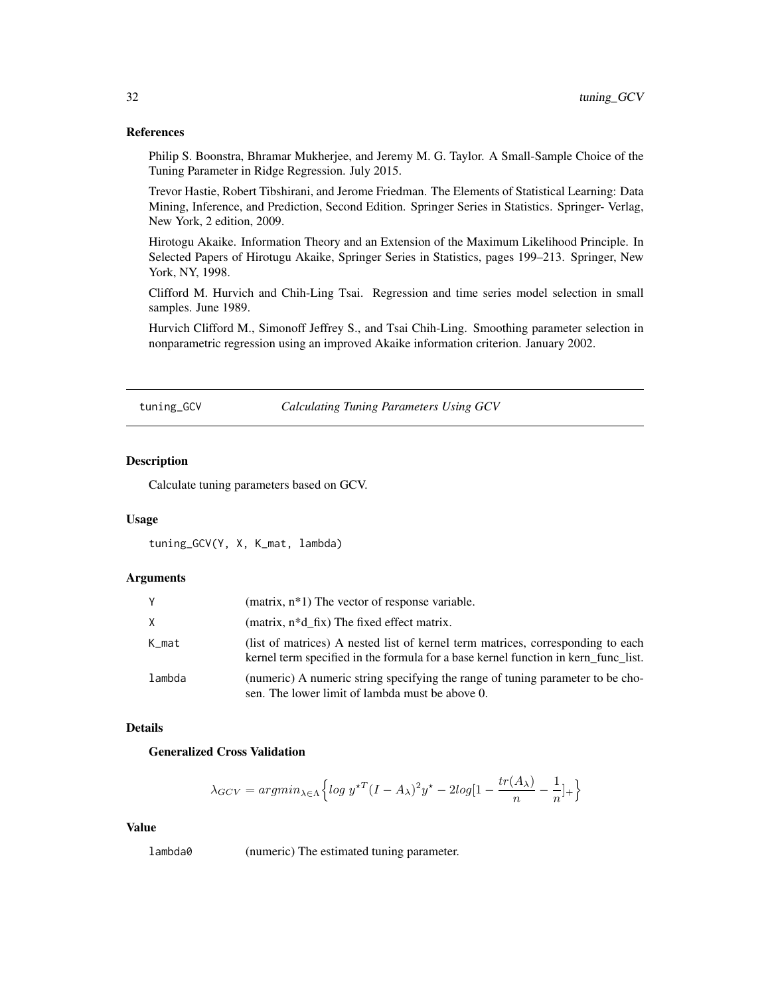#### References

Philip S. Boonstra, Bhramar Mukherjee, and Jeremy M. G. Taylor. A Small-Sample Choice of the Tuning Parameter in Ridge Regression. July 2015.

Trevor Hastie, Robert Tibshirani, and Jerome Friedman. The Elements of Statistical Learning: Data Mining, Inference, and Prediction, Second Edition. Springer Series in Statistics. Springer- Verlag, New York, 2 edition, 2009.

Hirotogu Akaike. Information Theory and an Extension of the Maximum Likelihood Principle. In Selected Papers of Hirotugu Akaike, Springer Series in Statistics, pages 199–213. Springer, New York, NY, 1998.

Clifford M. Hurvich and Chih-Ling Tsai. Regression and time series model selection in small samples. June 1989.

Hurvich Clifford M., Simonoff Jeffrey S., and Tsai Chih-Ling. Smoothing parameter selection in nonparametric regression using an improved Akaike information criterion. January 2002.

tuning\_GCV *Calculating Tuning Parameters Using GCV*

#### Description

Calculate tuning parameters based on GCV.

### Usage

tuning\_GCV(Y, X, K\_mat, lambda)

#### **Arguments**

|        | (matrix, $n*1$ ) The vector of response variable.                                                                                                                     |
|--------|-----------------------------------------------------------------------------------------------------------------------------------------------------------------------|
| X.     | (matrix, $n * d$ fix) The fixed effect matrix.                                                                                                                        |
| K mat  | (list of matrices) A nested list of kernel term matrices, corresponding to each<br>kernel term specified in the formula for a base kernel function in kern_func_list. |
| lambda | (numeric) A numeric string specifying the range of tuning parameter to be cho-<br>sen. The lower limit of lambda must be above 0.                                     |

### Details

### Generalized Cross Validation

$$
\lambda_{GCV} = argmin_{\lambda \in \Lambda} \left\{ \log y^{\star T} (I - A_{\lambda})^2 y^{\star} - 2\log[1 - \frac{tr(A_{\lambda})}{n} - \frac{1}{n}]_{+} \right\}
$$

#### Value

lambda0 (numeric) The estimated tuning parameter.

<span id="page-31-0"></span>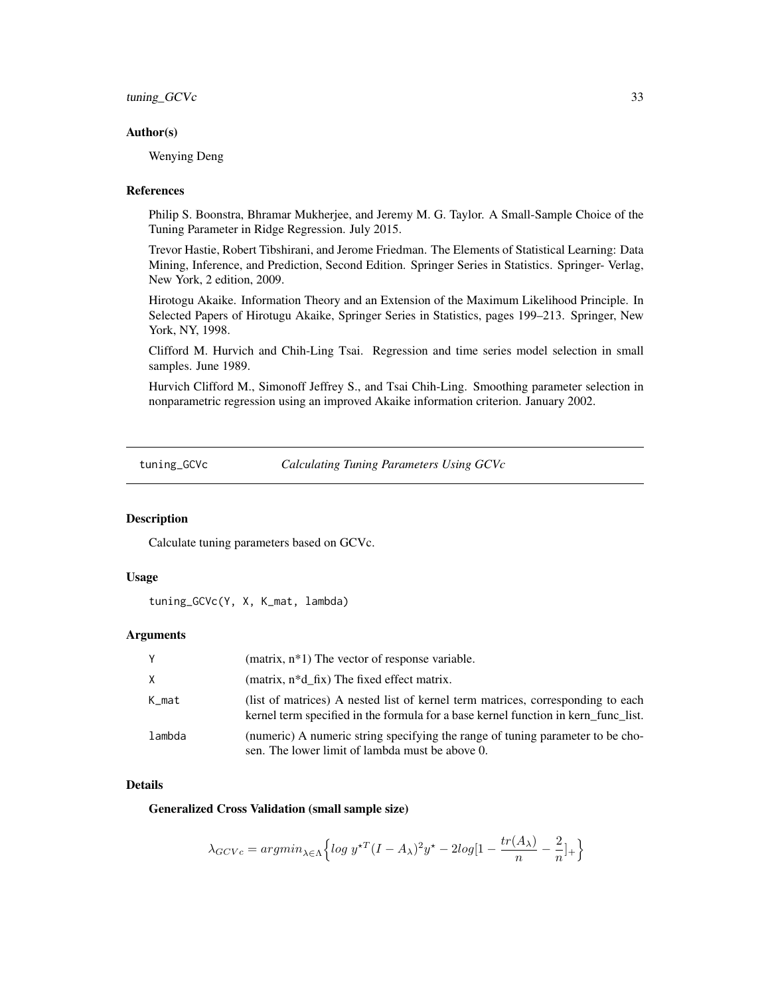<span id="page-32-0"></span>tuning\_GCVc 33

#### Author(s)

Wenying Deng

#### **References**

Philip S. Boonstra, Bhramar Mukherjee, and Jeremy M. G. Taylor. A Small-Sample Choice of the Tuning Parameter in Ridge Regression. July 2015.

Trevor Hastie, Robert Tibshirani, and Jerome Friedman. The Elements of Statistical Learning: Data Mining, Inference, and Prediction, Second Edition. Springer Series in Statistics. Springer- Verlag, New York, 2 edition, 2009.

Hirotogu Akaike. Information Theory and an Extension of the Maximum Likelihood Principle. In Selected Papers of Hirotugu Akaike, Springer Series in Statistics, pages 199–213. Springer, New York, NY, 1998.

Clifford M. Hurvich and Chih-Ling Tsai. Regression and time series model selection in small samples. June 1989.

Hurvich Clifford M., Simonoff Jeffrey S., and Tsai Chih-Ling. Smoothing parameter selection in nonparametric regression using an improved Akaike information criterion. January 2002.

tuning\_GCVc *Calculating Tuning Parameters Using GCVc*

### Description

Calculate tuning parameters based on GCVc.

#### Usage

tuning\_GCVc(Y, X, K\_mat, lambda)

#### Arguments

| Y      | (matrix, $n*1$ ) The vector of response variable.                                                                                                                     |
|--------|-----------------------------------------------------------------------------------------------------------------------------------------------------------------------|
| X      | (matrix, $n * d$ fix) The fixed effect matrix.                                                                                                                        |
| K_mat  | (list of matrices) A nested list of kernel term matrices, corresponding to each<br>kernel term specified in the formula for a base kernel function in kern func list. |
| lambda | (numeric) A numeric string specifying the range of tuning parameter to be cho-<br>sen. The lower limit of lambda must be above 0.                                     |

#### Details

Generalized Cross Validation (small sample size)

$$
\lambda_{GCVc} = argmin_{\lambda \in \Lambda} \left\{ \log y^{\star T} (I - A_{\lambda})^2 y^{\star} - 2\log[1 - \frac{tr(A_{\lambda})}{n} - \frac{2}{n}]_{+} \right\}
$$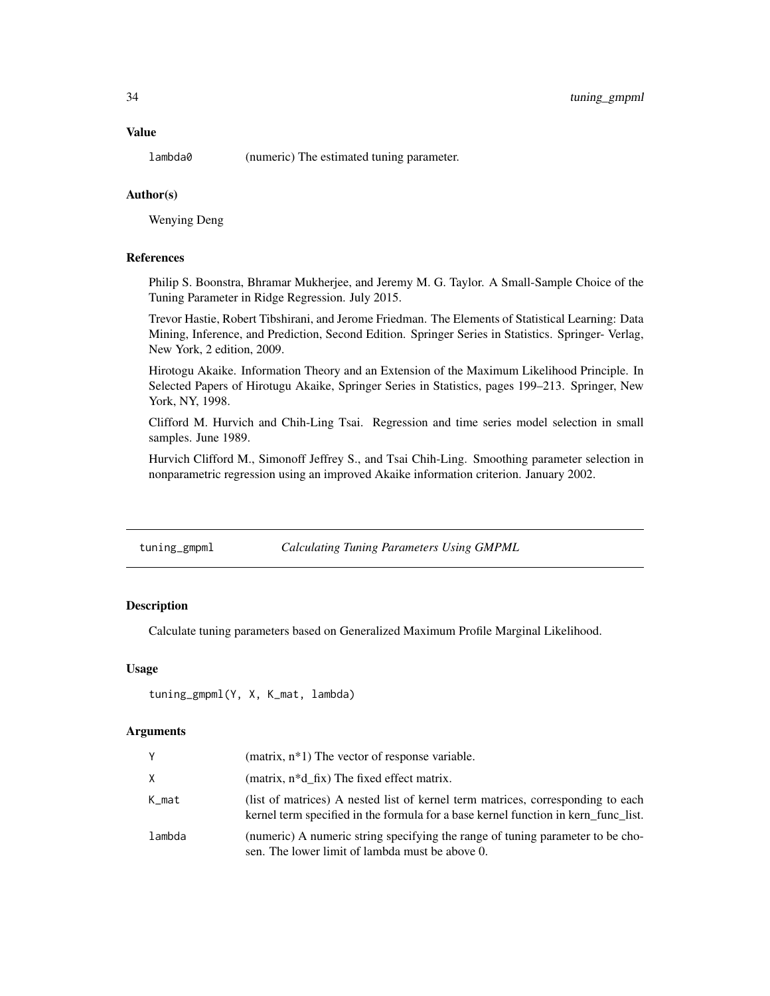#### <span id="page-33-0"></span>Value

lambda0 (numeric) The estimated tuning parameter.

#### Author(s)

Wenying Deng

### References

Philip S. Boonstra, Bhramar Mukherjee, and Jeremy M. G. Taylor. A Small-Sample Choice of the Tuning Parameter in Ridge Regression. July 2015.

Trevor Hastie, Robert Tibshirani, and Jerome Friedman. The Elements of Statistical Learning: Data Mining, Inference, and Prediction, Second Edition. Springer Series in Statistics. Springer- Verlag, New York, 2 edition, 2009.

Hirotogu Akaike. Information Theory and an Extension of the Maximum Likelihood Principle. In Selected Papers of Hirotugu Akaike, Springer Series in Statistics, pages 199–213. Springer, New York, NY, 1998.

Clifford M. Hurvich and Chih-Ling Tsai. Regression and time series model selection in small samples. June 1989.

Hurvich Clifford M., Simonoff Jeffrey S., and Tsai Chih-Ling. Smoothing parameter selection in nonparametric regression using an improved Akaike information criterion. January 2002.

| tuning_gmpml | <b>Calculating Tuning Parameters Using GMPML</b> |  |  |
|--------------|--------------------------------------------------|--|--|
|--------------|--------------------------------------------------|--|--|

#### Description

Calculate tuning parameters based on Generalized Maximum Profile Marginal Likelihood.

#### Usage

```
tuning_gmpml(Y, X, K_mat, lambda)
```
#### Arguments

| Y      | (matrix, $n*1$ ) The vector of response variable.                                                                                                                     |
|--------|-----------------------------------------------------------------------------------------------------------------------------------------------------------------------|
| X      | (matrix, $n * d$ fix) The fixed effect matrix.                                                                                                                        |
| K_mat  | (list of matrices) A nested list of kernel term matrices, corresponding to each<br>kernel term specified in the formula for a base kernel function in kern func list. |
| lambda | (numeric) A numeric string specifying the range of tuning parameter to be cho-<br>sen. The lower limit of lambda must be above 0.                                     |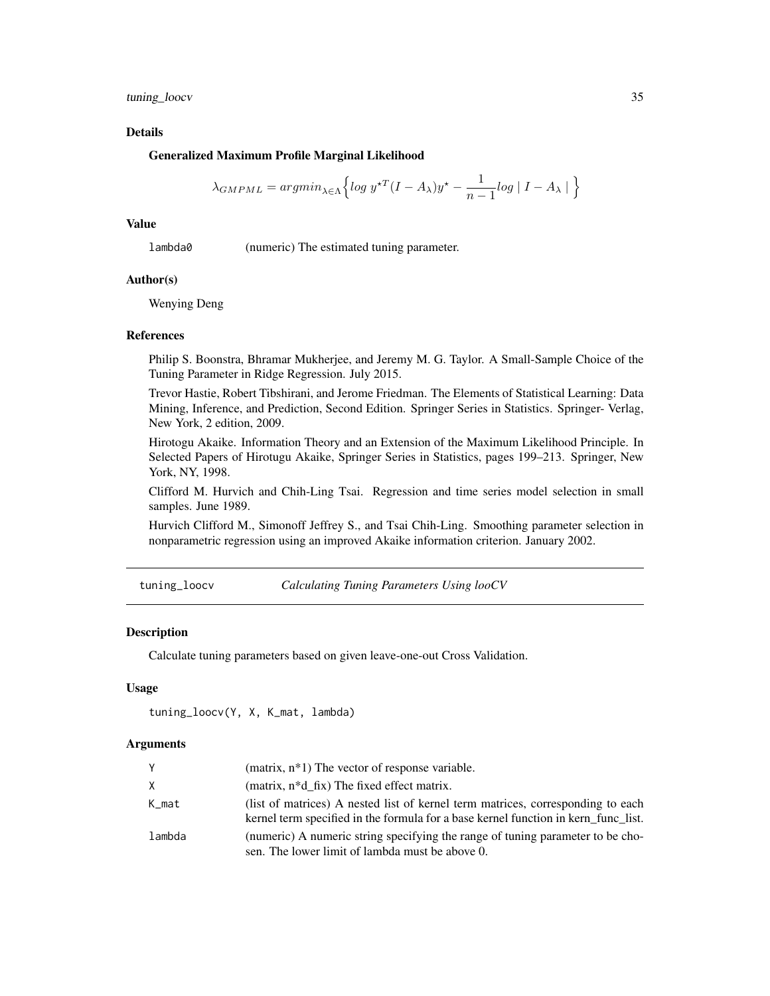<span id="page-34-0"></span>tuning\_loocv 35

#### Details

#### Generalized Maximum Profile Marginal Likelihood

$$
\lambda_{GMPML} = argmin_{\lambda \in \Lambda} \Big\{ log \ y^{\star T} (I-A_{\lambda}) y^\star - \frac{1}{n-1} log \mid I-A_{\lambda} \mid \Big\}
$$

### Value

lambda0 (numeric) The estimated tuning parameter.

#### Author(s)

Wenying Deng

#### References

Philip S. Boonstra, Bhramar Mukherjee, and Jeremy M. G. Taylor. A Small-Sample Choice of the Tuning Parameter in Ridge Regression. July 2015.

Trevor Hastie, Robert Tibshirani, and Jerome Friedman. The Elements of Statistical Learning: Data Mining, Inference, and Prediction, Second Edition. Springer Series in Statistics. Springer- Verlag, New York, 2 edition, 2009.

Hirotogu Akaike. Information Theory and an Extension of the Maximum Likelihood Principle. In Selected Papers of Hirotugu Akaike, Springer Series in Statistics, pages 199–213. Springer, New York, NY, 1998.

Clifford M. Hurvich and Chih-Ling Tsai. Regression and time series model selection in small samples. June 1989.

Hurvich Clifford M., Simonoff Jeffrey S., and Tsai Chih-Ling. Smoothing parameter selection in nonparametric regression using an improved Akaike information criterion. January 2002.

tuning\_loocv *Calculating Tuning Parameters Using looCV*

#### Description

Calculate tuning parameters based on given leave-one-out Cross Validation.

#### Usage

```
tuning_loocv(Y, X, K_mat, lambda)
```
#### **Arguments**

| Υ      | (matrix, $n*1$ ) The vector of response variable.                                                                                                                    |
|--------|----------------------------------------------------------------------------------------------------------------------------------------------------------------------|
| X.     | (matrix, $n * d$ fix) The fixed effect matrix.                                                                                                                       |
| K_mat  | (list of matrices) A nested list of kernel term matrices, corresponding to each<br>kernel term specified in the formula for a base kernel function in kern functist. |
| lambda | (numeric) A numeric string specifying the range of tuning parameter to be cho-<br>sen. The lower limit of lambda must be above 0.                                    |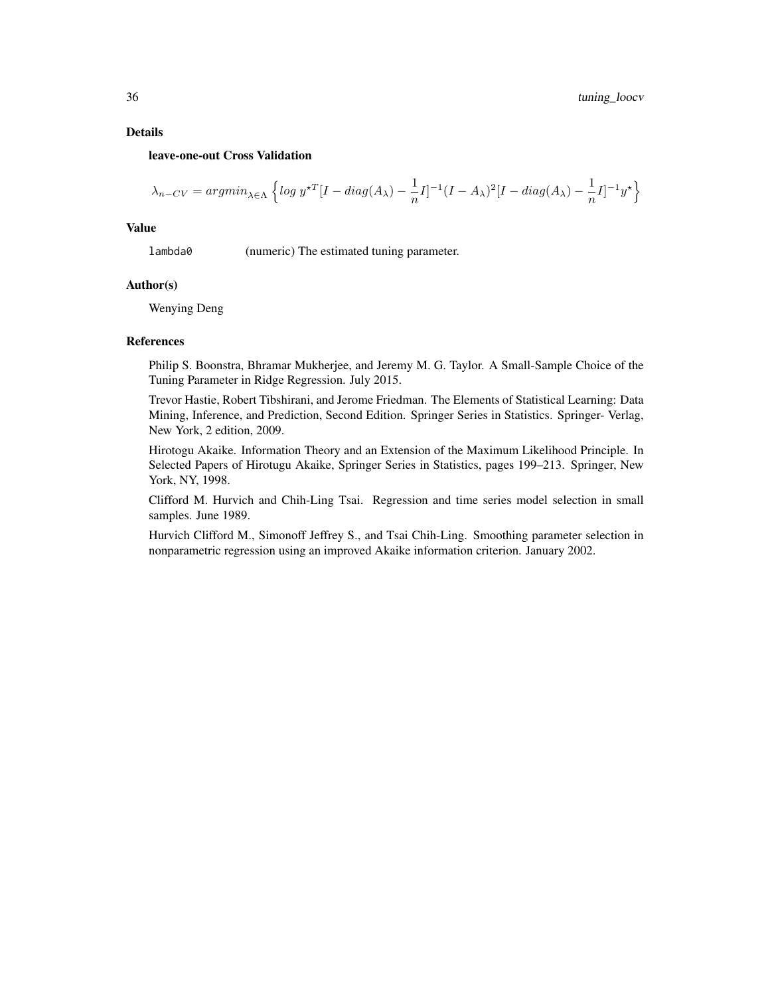#### Details

#### leave-one-out Cross Validation

$$
\lambda_{n-CV} = argmin_{\lambda \in \Lambda} \left\{ \log y^{\star T} [I - diag(A_{\lambda}) - \frac{1}{n} I]^{-1} (I - A_{\lambda})^2 [I - diag(A_{\lambda}) - \frac{1}{n} I]^{-1} y^{\star} \right\}
$$

#### Value

lambda0 (numeric) The estimated tuning parameter.

#### Author(s)

Wenying Deng

#### References

Philip S. Boonstra, Bhramar Mukherjee, and Jeremy M. G. Taylor. A Small-Sample Choice of the Tuning Parameter in Ridge Regression. July 2015.

Trevor Hastie, Robert Tibshirani, and Jerome Friedman. The Elements of Statistical Learning: Data Mining, Inference, and Prediction, Second Edition. Springer Series in Statistics. Springer- Verlag, New York, 2 edition, 2009.

Hirotogu Akaike. Information Theory and an Extension of the Maximum Likelihood Principle. In Selected Papers of Hirotugu Akaike, Springer Series in Statistics, pages 199–213. Springer, New York, NY, 1998.

Clifford M. Hurvich and Chih-Ling Tsai. Regression and time series model selection in small samples. June 1989.

Hurvich Clifford M., Simonoff Jeffrey S., and Tsai Chih-Ling. Smoothing parameter selection in nonparametric regression using an improved Akaike information criterion. January 2002.